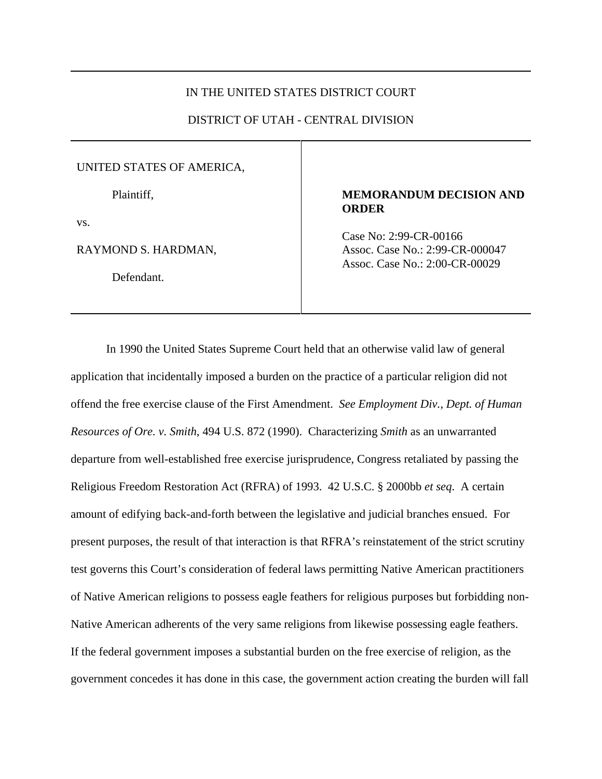# IN THE UNITED STATES DISTRICT COURT

# DISTRICT OF UTAH - CENTRAL DIVISION

#### UNITED STATES OF AMERICA,

Plaintiff,

vs.

RAYMOND S. HARDMAN,

Defendant.

# **MEMORANDUM DECISION AND ORDER**

Case No: 2:99-CR-00166 Assoc. Case No.: 2:99-CR-000047 Assoc. Case No.: 2:00-CR-00029

In 1990 the United States Supreme Court held that an otherwise valid law of general application that incidentally imposed a burden on the practice of a particular religion did not offend the free exercise clause of the First Amendment. *See Employment Div., Dept. of Human Resources of Ore. v. Smith*, 494 U.S. 872 (1990). Characterizing *Smith* as an unwarranted departure from well-established free exercise jurisprudence, Congress retaliated by passing the Religious Freedom Restoration Act (RFRA) of 1993. 42 U.S.C. § 2000bb *et seq*. A certain amount of edifying back-and-forth between the legislative and judicial branches ensued. For present purposes, the result of that interaction is that RFRA's reinstatement of the strict scrutiny test governs this Court's consideration of federal laws permitting Native American practitioners of Native American religions to possess eagle feathers for religious purposes but forbidding non-Native American adherents of the very same religions from likewise possessing eagle feathers. If the federal government imposes a substantial burden on the free exercise of religion, as the government concedes it has done in this case, the government action creating the burden will fall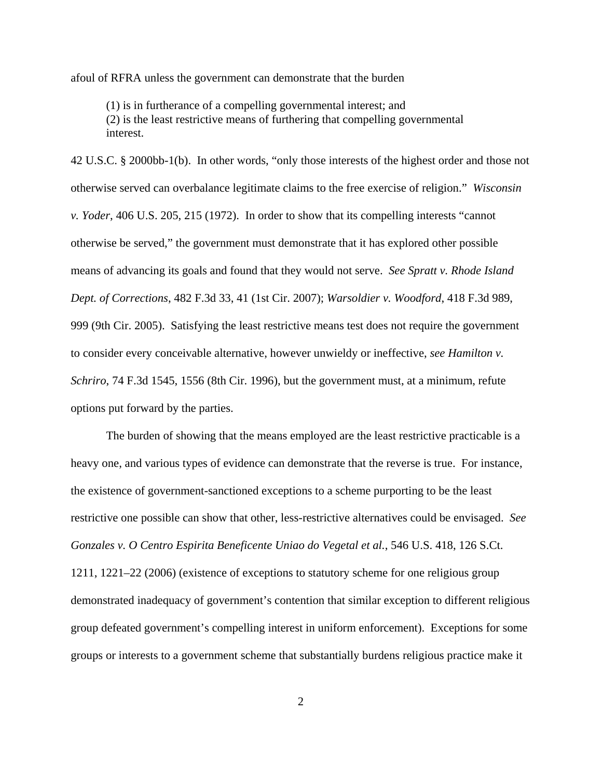afoul of RFRA unless the government can demonstrate that the burden

(1) is in furtherance of a compelling governmental interest; and (2) is the least restrictive means of furthering that compelling governmental interest.

42 U.S.C. § 2000bb-1(b). In other words, "only those interests of the highest order and those not otherwise served can overbalance legitimate claims to the free exercise of religion." *Wisconsin v. Yoder*, 406 U.S. 205, 215 (1972). In order to show that its compelling interests "cannot otherwise be served," the government must demonstrate that it has explored other possible means of advancing its goals and found that they would not serve. *See Spratt v. Rhode Island Dept. of Corrections*, 482 F.3d 33, 41 (1st Cir. 2007); *Warsoldier v. Woodford*, 418 F.3d 989, 999 (9th Cir. 2005). Satisfying the least restrictive means test does not require the government to consider every conceivable alternative, however unwieldy or ineffective, *see Hamilton v. Schriro*, 74 F.3d 1545, 1556 (8th Cir. 1996), but the government must, at a minimum, refute options put forward by the parties.

The burden of showing that the means employed are the least restrictive practicable is a heavy one, and various types of evidence can demonstrate that the reverse is true. For instance, the existence of government-sanctioned exceptions to a scheme purporting to be the least restrictive one possible can show that other, less-restrictive alternatives could be envisaged. *See Gonzales v. O Centro Espirita Beneficente Uniao do Vegetal et al.*, 546 U.S. 418, 126 S.Ct. 1211, 1221–22 (2006) (existence of exceptions to statutory scheme for one religious group demonstrated inadequacy of government's contention that similar exception to different religious group defeated government's compelling interest in uniform enforcement). Exceptions for some groups or interests to a government scheme that substantially burdens religious practice make it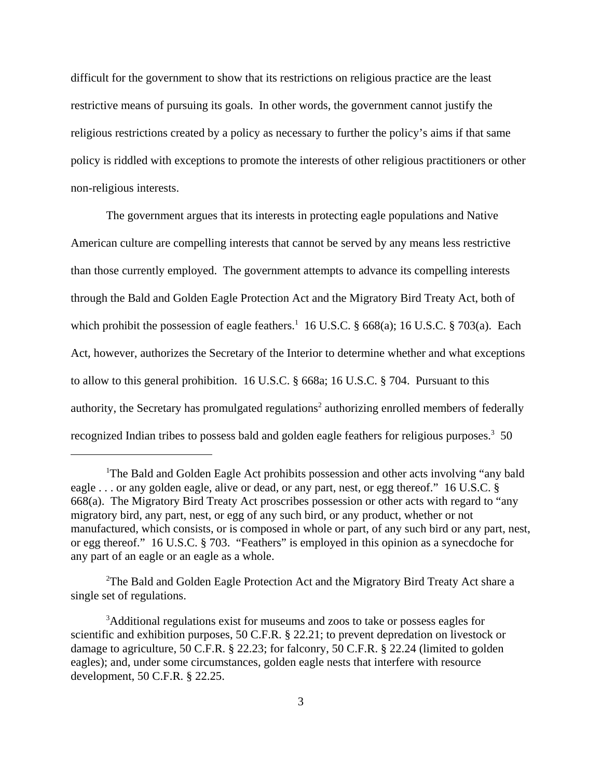difficult for the government to show that its restrictions on religious practice are the least restrictive means of pursuing its goals. In other words, the government cannot justify the religious restrictions created by a policy as necessary to further the policy's aims if that same policy is riddled with exceptions to promote the interests of other religious practitioners or other non-religious interests.

The government argues that its interests in protecting eagle populations and Native American culture are compelling interests that cannot be served by any means less restrictive than those currently employed. The government attempts to advance its compelling interests through the Bald and Golden Eagle Protection Act and the Migratory Bird Treaty Act, both of which prohibit the possession of eagle feathers.<sup>1</sup> 16 U.S.C.  $\S$  668(a); 16 U.S.C.  $\S$  703(a). Each Act, however, authorizes the Secretary of the Interior to determine whether and what exceptions to allow to this general prohibition. 16 U.S.C. § 668a; 16 U.S.C. § 704. Pursuant to this authority, the Secretary has promulgated regulations<sup>2</sup> authorizing enrolled members of federally recognized Indian tribes to possess bald and golden eagle feathers for religious purposes.<sup>3</sup> 50

<sup>2</sup>The Bald and Golden Eagle Protection Act and the Migratory Bird Treaty Act share a single set of regulations.

<sup>&</sup>lt;sup>1</sup>The Bald and Golden Eagle Act prohibits possession and other acts involving "any bald eagle . . . or any golden eagle, alive or dead, or any part, nest, or egg thereof." 16 U.S.C. § 668(a). The Migratory Bird Treaty Act proscribes possession or other acts with regard to "any migratory bird, any part, nest, or egg of any such bird, or any product, whether or not manufactured, which consists, or is composed in whole or part, of any such bird or any part, nest, or egg thereof." 16 U.S.C. § 703. "Feathers" is employed in this opinion as a synecdoche for any part of an eagle or an eagle as a whole.

<sup>&</sup>lt;sup>3</sup>Additional regulations exist for museums and zoos to take or possess eagles for scientific and exhibition purposes, 50 C.F.R. § 22.21; to prevent depredation on livestock or damage to agriculture, 50 C.F.R. § 22.23; for falconry, 50 C.F.R. § 22.24 (limited to golden eagles); and, under some circumstances, golden eagle nests that interfere with resource development, 50 C.F.R. § 22.25.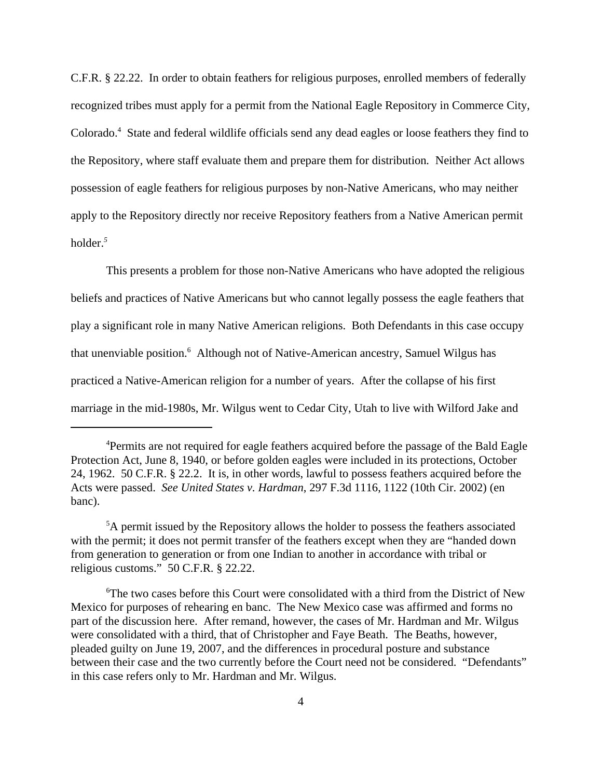C.F.R. § 22.22.In order to obtain feathers for religious purposes, enrolled members of federally recognized tribes must apply for a permit from the National Eagle Repository in Commerce City, Colorado.<sup>4</sup> State and federal wildlife officials send any dead eagles or loose feathers they find to the Repository, where staff evaluate them and prepare them for distribution*.* Neither Act allows possession of eagle feathers for religious purposes by non-Native Americans, who may neither apply to the Repository directly nor receive Repository feathers from a Native American permit holder.*<sup>5</sup>*

This presents a problem for those non-Native Americans who have adopted the religious beliefs and practices of Native Americans but who cannot legally possess the eagle feathers that play a significant role in many Native American religions. Both Defendants in this case occupy that unenviable position.<sup>6</sup> Although not of Native-American ancestry, Samuel Wilgus has practiced a Native-American religion for a number of years. After the collapse of his first marriage in the mid-1980s, Mr. Wilgus went to Cedar City, Utah to live with Wilford Jake and

<sup>&</sup>lt;sup>4</sup>Permits are not required for eagle feathers acquired before the passage of the Bald Eagle Protection Act, June 8, 1940, or before golden eagles were included in its protections, October 24, 1962. 50 C.F.R. § 22.2. It is, in other words, lawful to possess feathers acquired before the Acts were passed. *See United States v. Hardman*, 297 F.3d 1116, 1122 (10th Cir. 2002) (en banc).

<sup>&</sup>lt;sup>5</sup>A permit issued by the Repository allows the holder to possess the feathers associated with the permit; it does not permit transfer of the feathers except when they are "handed down from generation to generation or from one Indian to another in accordance with tribal or religious customs." 50 C.F.R. § 22.22.

<sup>6</sup> The two cases before this Court were consolidated with a third from the District of New Mexico for purposes of rehearing en banc. The New Mexico case was affirmed and forms no part of the discussion here. After remand, however, the cases of Mr. Hardman and Mr. Wilgus were consolidated with a third, that of Christopher and Faye Beath. The Beaths, however, pleaded guilty on June 19, 2007, and the differences in procedural posture and substance between their case and the two currently before the Court need not be considered. "Defendants" in this case refers only to Mr. Hardman and Mr. Wilgus.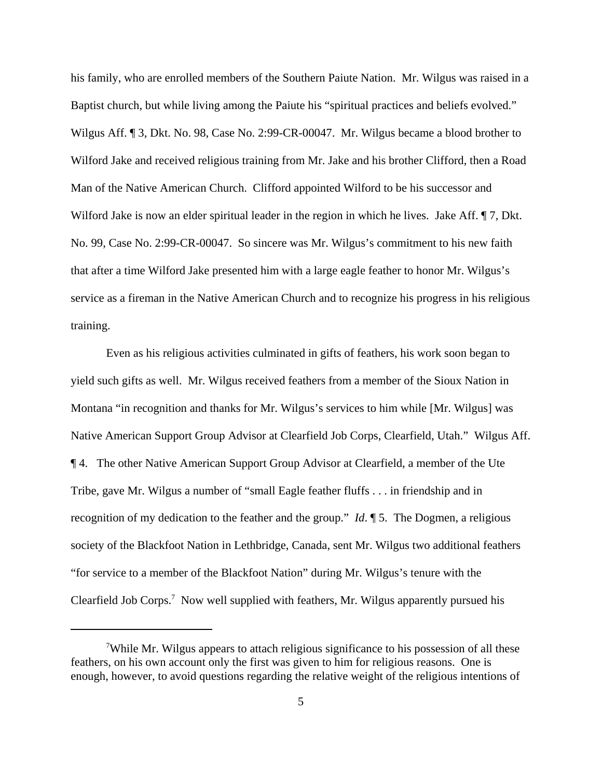his family, who are enrolled members of the Southern Paiute Nation. Mr. Wilgus was raised in a Baptist church, but while living among the Paiute his "spiritual practices and beliefs evolved." Wilgus Aff. ¶ 3, Dkt. No. 98, Case No. 2:99-CR-00047. Mr. Wilgus became a blood brother to Wilford Jake and received religious training from Mr. Jake and his brother Clifford, then a Road Man of the Native American Church. Clifford appointed Wilford to be his successor and Wilford Jake is now an elder spiritual leader in the region in which he lives. Jake Aff.  $\P$ 7, Dkt. No. 99, Case No. 2:99-CR-00047. So sincere was Mr. Wilgus's commitment to his new faith that after a time Wilford Jake presented him with a large eagle feather to honor Mr. Wilgus's service as a fireman in the Native American Church and to recognize his progress in his religious training.

Even as his religious activities culminated in gifts of feathers, his work soon began to yield such gifts as well. Mr. Wilgus received feathers from a member of the Sioux Nation in Montana "in recognition and thanks for Mr. Wilgus's services to him while [Mr. Wilgus] was Native American Support Group Advisor at Clearfield Job Corps, Clearfield, Utah." Wilgus Aff. ¶ 4. The other Native American Support Group Advisor at Clearfield, a member of the Ute Tribe, gave Mr. Wilgus a number of "small Eagle feather fluffs . . . in friendship and in recognition of my dedication to the feather and the group." *Id*. ¶ 5. The Dogmen, a religious society of the Blackfoot Nation in Lethbridge, Canada, sent Mr. Wilgus two additional feathers "for service to a member of the Blackfoot Nation" during Mr. Wilgus's tenure with the Clearfield Job Corps.<sup>7</sup> Now well supplied with feathers, Mr. Wilgus apparently pursued his

<sup>&</sup>lt;sup>7</sup>While Mr. Wilgus appears to attach religious significance to his possession of all these feathers, on his own account only the first was given to him for religious reasons. One is enough, however, to avoid questions regarding the relative weight of the religious intentions of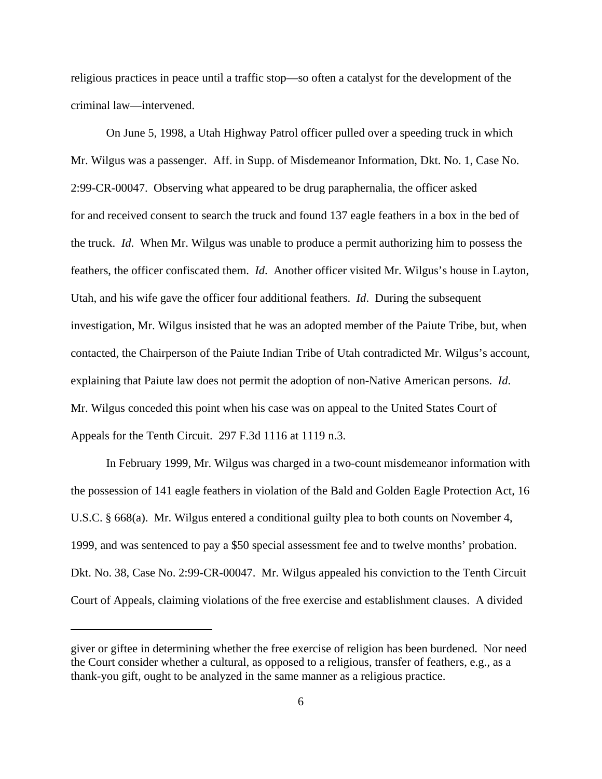religious practices in peace until a traffic stop—so often a catalyst for the development of the criminal law—intervened.

On June 5, 1998, a Utah Highway Patrol officer pulled over a speeding truck in which Mr. Wilgus was a passenger. Aff. in Supp. of Misdemeanor Information, Dkt. No. 1, Case No. 2:99-CR-00047. Observing what appeared to be drug paraphernalia, the officer asked for and received consent to search the truck and found 137 eagle feathers in a box in the bed of the truck. *Id*. When Mr. Wilgus was unable to produce a permit authorizing him to possess the feathers, the officer confiscated them. *Id*. Another officer visited Mr. Wilgus's house in Layton, Utah, and his wife gave the officer four additional feathers. *Id*. During the subsequent investigation, Mr. Wilgus insisted that he was an adopted member of the Paiute Tribe, but, when contacted, the Chairperson of the Paiute Indian Tribe of Utah contradicted Mr. Wilgus's account, explaining that Paiute law does not permit the adoption of non-Native American persons. *Id*. Mr. Wilgus conceded this point when his case was on appeal to the United States Court of Appeals for the Tenth Circuit. 297 F.3d 1116 at 1119 n.3.

In February 1999, Mr. Wilgus was charged in a two-count misdemeanor information with the possession of 141 eagle feathers in violation of the Bald and Golden Eagle Protection Act, 16 U.S.C. § 668(a). Mr. Wilgus entered a conditional guilty plea to both counts on November 4, 1999, and was sentenced to pay a \$50 special assessment fee and to twelve months' probation. Dkt. No. 38, Case No. 2:99-CR-00047. Mr. Wilgus appealed his conviction to the Tenth Circuit Court of Appeals, claiming violations of the free exercise and establishment clauses. A divided

giver or giftee in determining whether the free exercise of religion has been burdened. Nor need the Court consider whether a cultural, as opposed to a religious, transfer of feathers, e.g., as a thank-you gift, ought to be analyzed in the same manner as a religious practice.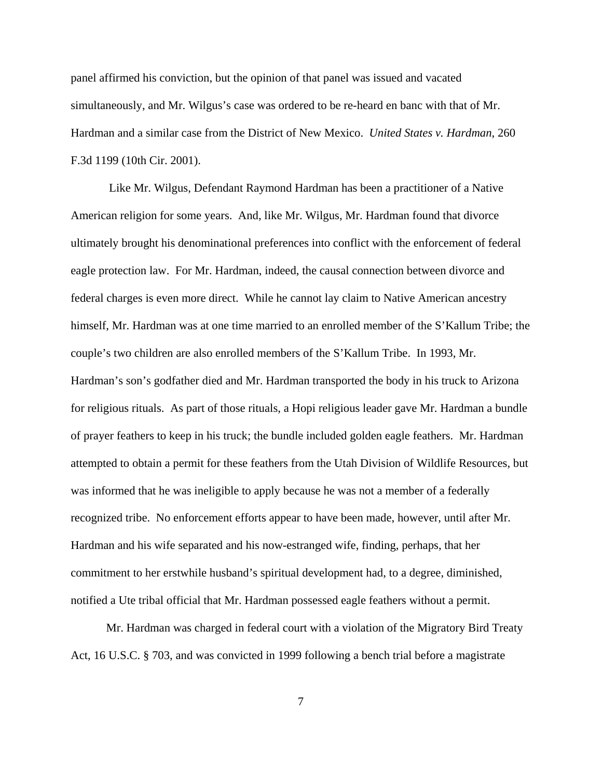panel affirmed his conviction, but the opinion of that panel was issued and vacated simultaneously, and Mr. Wilgus's case was ordered to be re-heard en banc with that of Mr. Hardman and a similar case from the District of New Mexico. *United States v. Hardman*, 260 F.3d 1199 (10th Cir. 2001).

 Like Mr. Wilgus, Defendant Raymond Hardman has been a practitioner of a Native American religion for some years. And, like Mr. Wilgus, Mr. Hardman found that divorce ultimately brought his denominational preferences into conflict with the enforcement of federal eagle protection law. For Mr. Hardman, indeed, the causal connection between divorce and federal charges is even more direct. While he cannot lay claim to Native American ancestry himself, Mr. Hardman was at one time married to an enrolled member of the S'Kallum Tribe; the couple's two children are also enrolled members of the S'Kallum Tribe. In 1993, Mr. Hardman's son's godfather died and Mr. Hardman transported the body in his truck to Arizona for religious rituals. As part of those rituals, a Hopi religious leader gave Mr. Hardman a bundle of prayer feathers to keep in his truck; the bundle included golden eagle feathers. Mr. Hardman attempted to obtain a permit for these feathers from the Utah Division of Wildlife Resources, but was informed that he was ineligible to apply because he was not a member of a federally recognized tribe. No enforcement efforts appear to have been made, however, until after Mr. Hardman and his wife separated and his now-estranged wife, finding, perhaps, that her commitment to her erstwhile husband's spiritual development had, to a degree, diminished, notified a Ute tribal official that Mr. Hardman possessed eagle feathers without a permit.

Mr. Hardman was charged in federal court with a violation of the Migratory Bird Treaty Act, 16 U.S.C. § 703, and was convicted in 1999 following a bench trial before a magistrate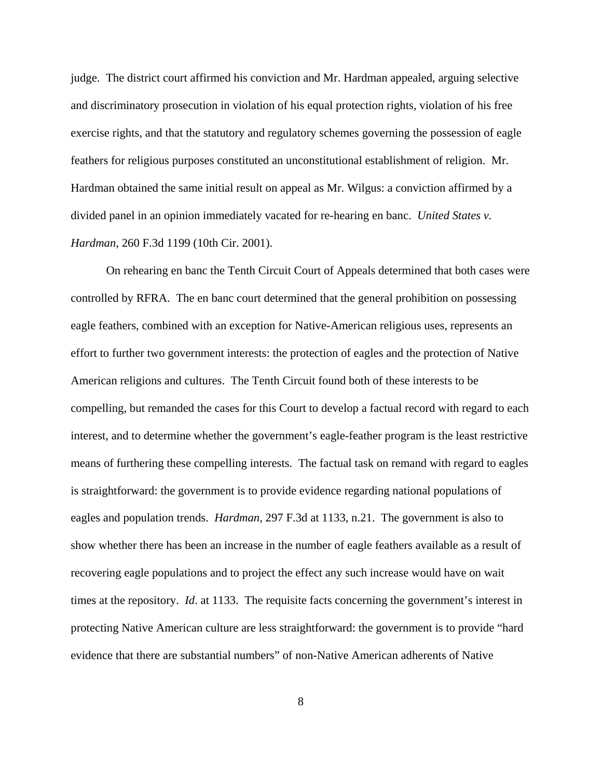judge. The district court affirmed his conviction and Mr. Hardman appealed, arguing selective and discriminatory prosecution in violation of his equal protection rights, violation of his free exercise rights, and that the statutory and regulatory schemes governing the possession of eagle feathers for religious purposes constituted an unconstitutional establishment of religion. Mr. Hardman obtained the same initial result on appeal as Mr. Wilgus: a conviction affirmed by a divided panel in an opinion immediately vacated for re-hearing en banc. *United States v. Hardman*, 260 F.3d 1199 (10th Cir. 2001).

On rehearing en banc the Tenth Circuit Court of Appeals determined that both cases were controlled by RFRA. The en banc court determined that the general prohibition on possessing eagle feathers, combined with an exception for Native-American religious uses, represents an effort to further two government interests: the protection of eagles and the protection of Native American religions and cultures. The Tenth Circuit found both of these interests to be compelling, but remanded the cases for this Court to develop a factual record with regard to each interest, and to determine whether the government's eagle-feather program is the least restrictive means of furthering these compelling interests. The factual task on remand with regard to eagles is straightforward: the government is to provide evidence regarding national populations of eagles and population trends. *Hardman*, 297 F.3d at 1133, n.21. The government is also to show whether there has been an increase in the number of eagle feathers available as a result of recovering eagle populations and to project the effect any such increase would have on wait times at the repository. *Id*. at 1133. The requisite facts concerning the government's interest in protecting Native American culture are less straightforward: the government is to provide "hard evidence that there are substantial numbers" of non-Native American adherents of Native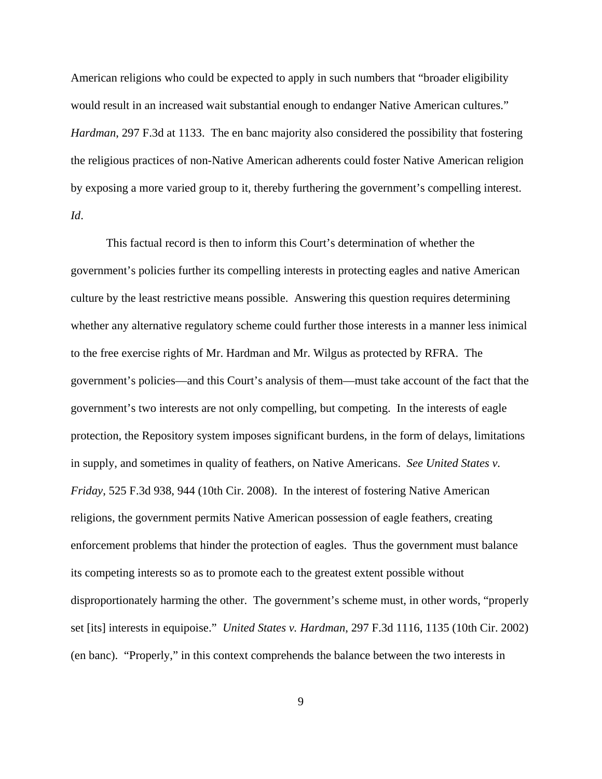American religions who could be expected to apply in such numbers that "broader eligibility would result in an increased wait substantial enough to endanger Native American cultures." *Hardman*, 297 F.3d at 1133. The en banc majority also considered the possibility that fostering the religious practices of non-Native American adherents could foster Native American religion by exposing a more varied group to it, thereby furthering the government's compelling interest. *Id*.

This factual record is then to inform this Court's determination of whether the government's policies further its compelling interests in protecting eagles and native American culture by the least restrictive means possible. Answering this question requires determining whether any alternative regulatory scheme could further those interests in a manner less inimical to the free exercise rights of Mr. Hardman and Mr. Wilgus as protected by RFRA. The government's policies—and this Court's analysis of them—must take account of the fact that the government's two interests are not only compelling, but competing. In the interests of eagle protection, the Repository system imposes significant burdens, in the form of delays, limitations in supply, and sometimes in quality of feathers, on Native Americans. *See United States v. Friday*, 525 F.3d 938, 944 (10th Cir. 2008). In the interest of fostering Native American religions, the government permits Native American possession of eagle feathers, creating enforcement problems that hinder the protection of eagles. Thus the government must balance its competing interests so as to promote each to the greatest extent possible without disproportionately harming the other. The government's scheme must, in other words, "properly set [its] interests in equipoise." *United States v. Hardman*, 297 F.3d 1116, 1135 (10th Cir. 2002) (en banc). "Properly," in this context comprehends the balance between the two interests in

9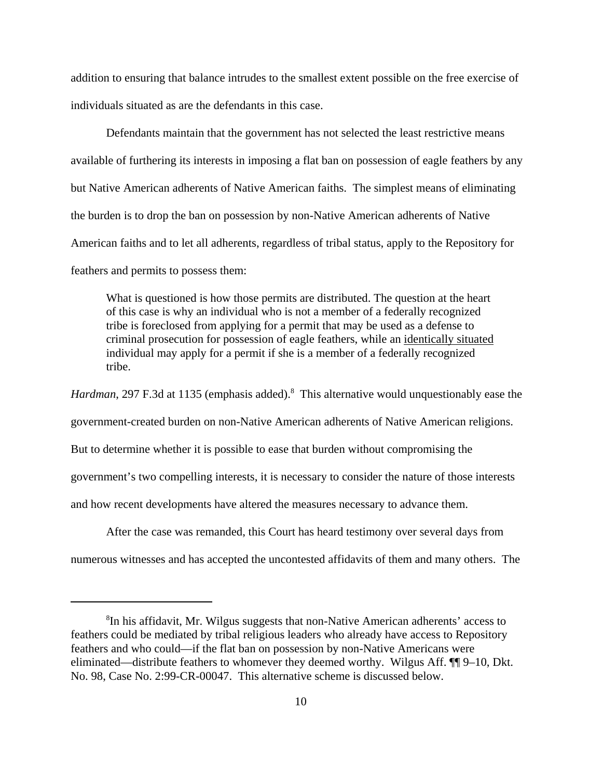addition to ensuring that balance intrudes to the smallest extent possible on the free exercise of individuals situated as are the defendants in this case.

Defendants maintain that the government has not selected the least restrictive means available of furthering its interests in imposing a flat ban on possession of eagle feathers by any but Native American adherents of Native American faiths. The simplest means of eliminating the burden is to drop the ban on possession by non-Native American adherents of Native American faiths and to let all adherents, regardless of tribal status, apply to the Repository for feathers and permits to possess them:

What is questioned is how those permits are distributed. The question at the heart of this case is why an individual who is not a member of a federally recognized tribe is foreclosed from applying for a permit that may be used as a defense to criminal prosecution for possession of eagle feathers, while an identically situated individual may apply for a permit if she is a member of a federally recognized tribe.

Hardman, 297 F.3d at 1135 (emphasis added).<sup>8</sup> This alternative would unquestionably ease the government-created burden on non-Native American adherents of Native American religions. But to determine whether it is possible to ease that burden without compromising the government's two compelling interests, it is necessary to consider the nature of those interests and how recent developments have altered the measures necessary to advance them.

After the case was remanded, this Court has heard testimony over several days from

numerous witnesses and has accepted the uncontested affidavits of them and many others. The

<sup>8</sup> In his affidavit, Mr. Wilgus suggests that non-Native American adherents' access to feathers could be mediated by tribal religious leaders who already have access to Repository feathers and who could—if the flat ban on possession by non-Native Americans were eliminated—distribute feathers to whomever they deemed worthy. Wilgus Aff. ¶¶ 9–10, Dkt. No. 98, Case No. 2:99-CR-00047. This alternative scheme is discussed below.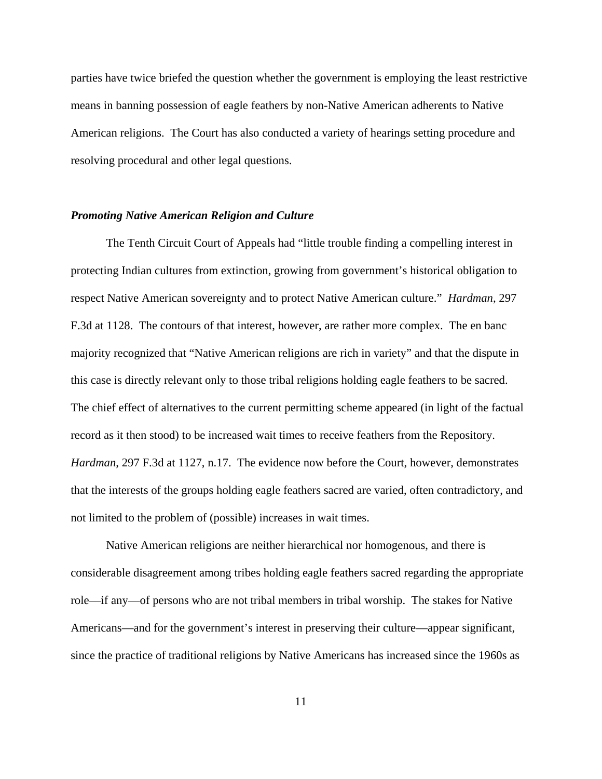parties have twice briefed the question whether the government is employing the least restrictive means in banning possession of eagle feathers by non-Native American adherents to Native American religions. The Court has also conducted a variety of hearings setting procedure and resolving procedural and other legal questions.

#### *Promoting Native American Religion and Culture*

The Tenth Circuit Court of Appeals had "little trouble finding a compelling interest in protecting Indian cultures from extinction, growing from government's historical obligation to respect Native American sovereignty and to protect Native American culture." *Hardman*, 297 F.3d at 1128. The contours of that interest, however, are rather more complex. The en banc majority recognized that "Native American religions are rich in variety" and that the dispute in this case is directly relevant only to those tribal religions holding eagle feathers to be sacred. The chief effect of alternatives to the current permitting scheme appeared (in light of the factual record as it then stood) to be increased wait times to receive feathers from the Repository. *Hardman*, 297 F.3d at 1127, n.17. The evidence now before the Court, however, demonstrates that the interests of the groups holding eagle feathers sacred are varied, often contradictory, and not limited to the problem of (possible) increases in wait times.

Native American religions are neither hierarchical nor homogenous, and there is considerable disagreement among tribes holding eagle feathers sacred regarding the appropriate role—if any—of persons who are not tribal members in tribal worship. The stakes for Native Americans—and for the government's interest in preserving their culture—appear significant, since the practice of traditional religions by Native Americans has increased since the 1960s as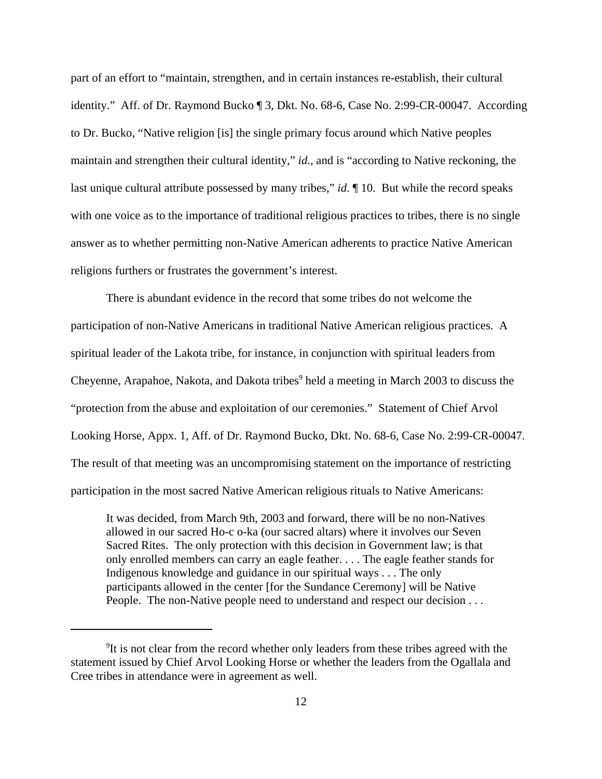part of an effort to "maintain, strengthen, and in certain instances re-establish, their cultural identity." Aff. of Dr. Raymond Bucko ¶ 3, Dkt. No. 68-6, Case No. 2:99-CR-00047. According to Dr. Bucko, "Native religion [is] the single primary focus around which Native peoples maintain and strengthen their cultural identity," *id*., and is "according to Native reckoning, the last unique cultural attribute possessed by many tribes," *id*. ¶ 10. But while the record speaks with one voice as to the importance of traditional religious practices to tribes, there is no single answer as to whether permitting non-Native American adherents to practice Native American religions furthers or frustrates the government's interest.

There is abundant evidence in the record that some tribes do not welcome the participation of non-Native Americans in traditional Native American religious practices. A spiritual leader of the Lakota tribe, for instance, in conjunction with spiritual leaders from Cheyenne, Arapahoe, Nakota, and Dakota tribes<sup>9</sup> held a meeting in March 2003 to discuss the "protection from the abuse and exploitation of our ceremonies." Statement of Chief Arvol Looking Horse, Appx. 1, Aff. of Dr. Raymond Bucko, Dkt. No. 68-6, Case No. 2:99-CR-00047. The result of that meeting was an uncompromising statement on the importance of restricting participation in the most sacred Native American religious rituals to Native Americans:

It was decided, from March 9th, 2003 and forward, there will be no non-Natives allowed in our sacred Ho-c o-ka (our sacred altars) where it involves our Seven Sacred Rites. The only protection with this decision in Government law; is that only enrolled members can carry an eagle feather. . . . The eagle feather stands for Indigenous knowledge and guidance in our spiritual ways . . . The only participants allowed in the center [for the Sundance Ceremony] will be Native People. The non-Native people need to understand and respect our decision . . .

<sup>&</sup>lt;sup>9</sup>It is not clear from the record whether only leaders from these tribes agreed with the statement issued by Chief Arvol Looking Horse or whether the leaders from the Ogallala and Cree tribes in attendance were in agreement as well.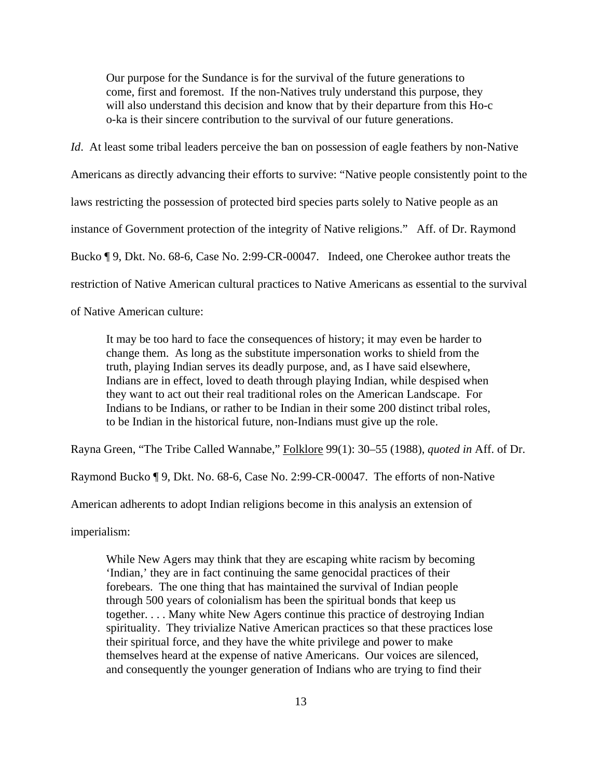Our purpose for the Sundance is for the survival of the future generations to come, first and foremost. If the non-Natives truly understand this purpose, they will also understand this decision and know that by their departure from this Ho-c o-ka is their sincere contribution to the survival of our future generations.

*Id.* At least some tribal leaders perceive the ban on possession of eagle feathers by non-Native Americans as directly advancing their efforts to survive: "Native people consistently point to the laws restricting the possession of protected bird species parts solely to Native people as an instance of Government protection of the integrity of Native religions." Aff. of Dr. Raymond Bucko ¶ 9, Dkt. No. 68-6, Case No. 2:99-CR-00047. Indeed, one Cherokee author treats the restriction of Native American cultural practices to Native Americans as essential to the survival

of Native American culture:

It may be too hard to face the consequences of history; it may even be harder to change them. As long as the substitute impersonation works to shield from the truth, playing Indian serves its deadly purpose, and, as I have said elsewhere, Indians are in effect, loved to death through playing Indian, while despised when they want to act out their real traditional roles on the American Landscape. For Indians to be Indians, or rather to be Indian in their some 200 distinct tribal roles, to be Indian in the historical future, non-Indians must give up the role.

Rayna Green, "The Tribe Called Wannabe," Folklore 99(1): 30–55 (1988), *quoted in* Aff. of Dr.

Raymond Bucko ¶ 9, Dkt. No. 68-6, Case No. 2:99-CR-00047. The efforts of non-Native

American adherents to adopt Indian religions become in this analysis an extension of

imperialism:

While New Agers may think that they are escaping white racism by becoming 'Indian,' they are in fact continuing the same genocidal practices of their forebears. The one thing that has maintained the survival of Indian people through 500 years of colonialism has been the spiritual bonds that keep us together. . . . Many white New Agers continue this practice of destroying Indian spirituality. They trivialize Native American practices so that these practices lose their spiritual force, and they have the white privilege and power to make themselves heard at the expense of native Americans. Our voices are silenced, and consequently the younger generation of Indians who are trying to find their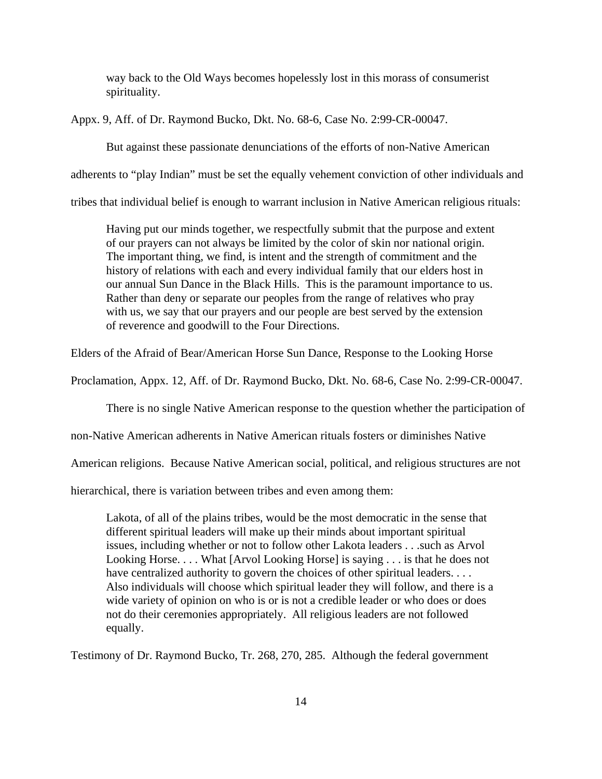way back to the Old Ways becomes hopelessly lost in this morass of consumerist spirituality.

Appx. 9, Aff. of Dr. Raymond Bucko, Dkt. No. 68-6, Case No. 2:99-CR-00047.

But against these passionate denunciations of the efforts of non-Native American

adherents to "play Indian" must be set the equally vehement conviction of other individuals and

tribes that individual belief is enough to warrant inclusion in Native American religious rituals:

Having put our minds together, we respectfully submit that the purpose and extent of our prayers can not always be limited by the color of skin nor national origin. The important thing, we find, is intent and the strength of commitment and the history of relations with each and every individual family that our elders host in our annual Sun Dance in the Black Hills. This is the paramount importance to us. Rather than deny or separate our peoples from the range of relatives who pray with us, we say that our prayers and our people are best served by the extension of reverence and goodwill to the Four Directions.

Elders of the Afraid of Bear/American Horse Sun Dance, Response to the Looking Horse

Proclamation, Appx. 12, Aff. of Dr. Raymond Bucko, Dkt. No. 68-6, Case No. 2:99-CR-00047.

There is no single Native American response to the question whether the participation of

non-Native American adherents in Native American rituals fosters or diminishes Native

American religions. Because Native American social, political, and religious structures are not

hierarchical, there is variation between tribes and even among them:

Lakota, of all of the plains tribes, would be the most democratic in the sense that different spiritual leaders will make up their minds about important spiritual issues, including whether or not to follow other Lakota leaders . . .such as Arvol Looking Horse.... What [Arvol Looking Horse] is saying ... is that he does not have centralized authority to govern the choices of other spiritual leaders. . . . Also individuals will choose which spiritual leader they will follow, and there is a wide variety of opinion on who is or is not a credible leader or who does or does not do their ceremonies appropriately. All religious leaders are not followed equally.

Testimony of Dr. Raymond Bucko, Tr. 268, 270, 285. Although the federal government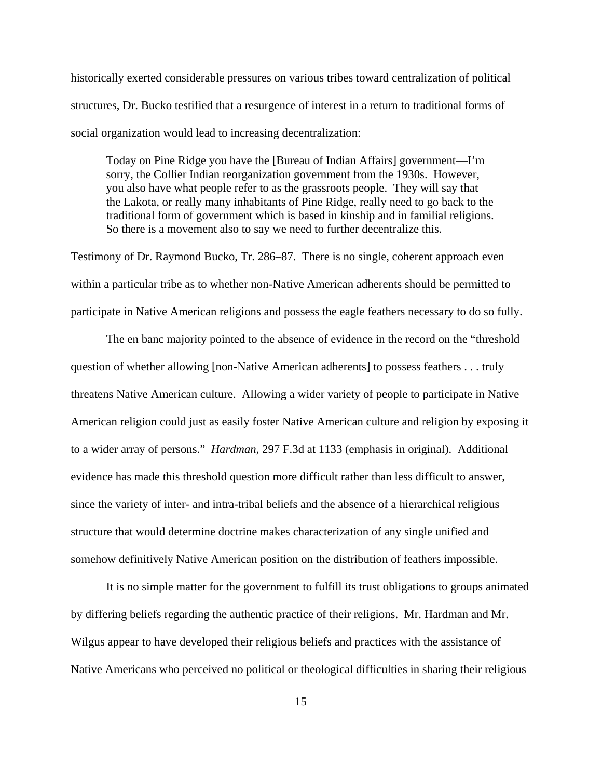historically exerted considerable pressures on various tribes toward centralization of political structures, Dr. Bucko testified that a resurgence of interest in a return to traditional forms of social organization would lead to increasing decentralization:

Today on Pine Ridge you have the [Bureau of Indian Affairs] government—I'm sorry, the Collier Indian reorganization government from the 1930s. However, you also have what people refer to as the grassroots people. They will say that the Lakota, or really many inhabitants of Pine Ridge, really need to go back to the traditional form of government which is based in kinship and in familial religions. So there is a movement also to say we need to further decentralize this.

Testimony of Dr. Raymond Bucko, Tr. 286–87. There is no single, coherent approach even within a particular tribe as to whether non-Native American adherents should be permitted to participate in Native American religions and possess the eagle feathers necessary to do so fully.

The en banc majority pointed to the absence of evidence in the record on the "threshold question of whether allowing [non-Native American adherents] to possess feathers . . . truly threatens Native American culture. Allowing a wider variety of people to participate in Native American religion could just as easily foster Native American culture and religion by exposing it to a wider array of persons." *Hardman*, 297 F.3d at 1133 (emphasis in original). Additional evidence has made this threshold question more difficult rather than less difficult to answer, since the variety of inter- and intra-tribal beliefs and the absence of a hierarchical religious structure that would determine doctrine makes characterization of any single unified and somehow definitively Native American position on the distribution of feathers impossible.

It is no simple matter for the government to fulfill its trust obligations to groups animated by differing beliefs regarding the authentic practice of their religions. Mr. Hardman and Mr. Wilgus appear to have developed their religious beliefs and practices with the assistance of Native Americans who perceived no political or theological difficulties in sharing their religious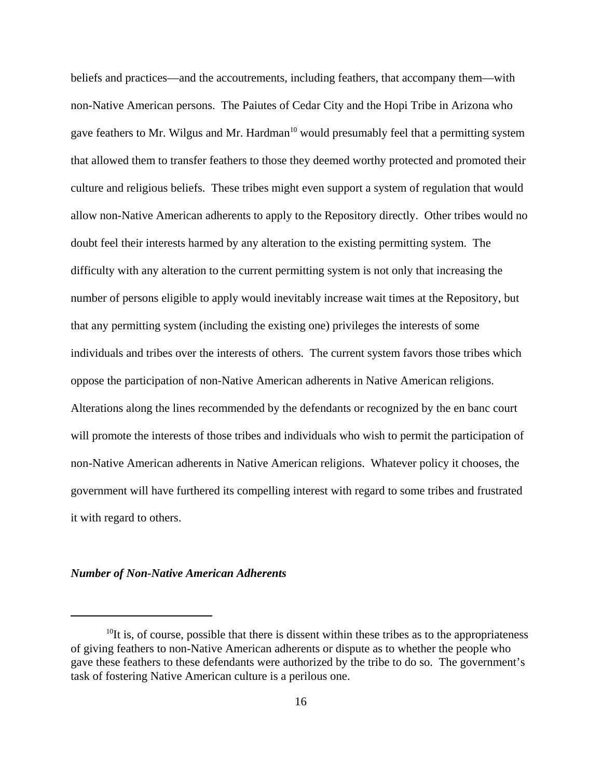beliefs and practices—and the accoutrements, including feathers, that accompany them—with non-Native American persons. The Paiutes of Cedar City and the Hopi Tribe in Arizona who gave feathers to Mr. Wilgus and Mr. Hardman<sup>10</sup> would presumably feel that a permitting system that allowed them to transfer feathers to those they deemed worthy protected and promoted their culture and religious beliefs. These tribes might even support a system of regulation that would allow non-Native American adherents to apply to the Repository directly. Other tribes would no doubt feel their interests harmed by any alteration to the existing permitting system. The difficulty with any alteration to the current permitting system is not only that increasing the number of persons eligible to apply would inevitably increase wait times at the Repository, but that any permitting system (including the existing one) privileges the interests of some individuals and tribes over the interests of others. The current system favors those tribes which oppose the participation of non-Native American adherents in Native American religions. Alterations along the lines recommended by the defendants or recognized by the en banc court will promote the interests of those tribes and individuals who wish to permit the participation of non-Native American adherents in Native American religions. Whatever policy it chooses, the government will have furthered its compelling interest with regard to some tribes and frustrated it with regard to others.

### *Number of Non-Native American Adherents*

 $10$ It is, of course, possible that there is dissent within these tribes as to the appropriateness of giving feathers to non-Native American adherents or dispute as to whether the people who gave these feathers to these defendants were authorized by the tribe to do so. The government's task of fostering Native American culture is a perilous one.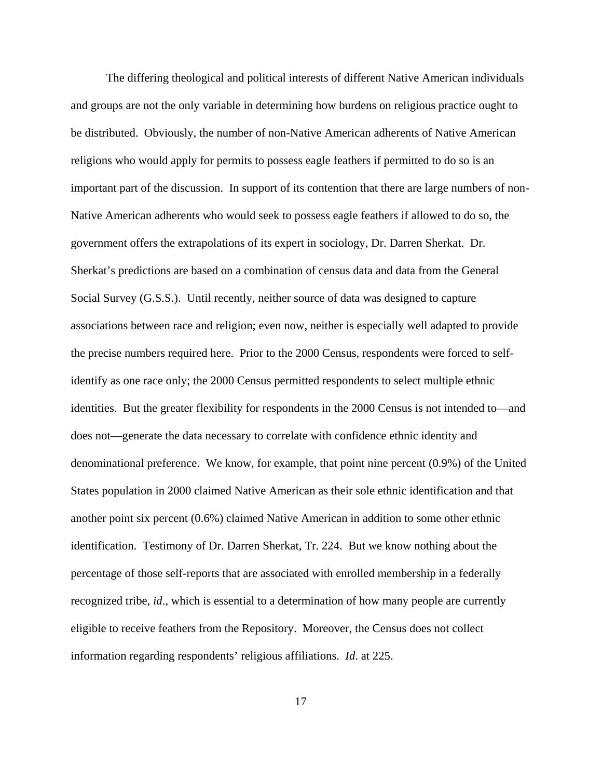The differing theological and political interests of different Native American individuals and groups are not the only variable in determining how burdens on religious practice ought to be distributed. Obviously, the number of non-Native American adherents of Native American religions who would apply for permits to possess eagle feathers if permitted to do so is an important part of the discussion. In support of its contention that there are large numbers of non-Native American adherents who would seek to possess eagle feathers if allowed to do so, the government offers the extrapolations of its expert in sociology, Dr. Darren Sherkat. Dr. Sherkat's predictions are based on a combination of census data and data from the General Social Survey (G.S.S.). Until recently, neither source of data was designed to capture associations between race and religion; even now, neither is especially well adapted to provide the precise numbers required here. Prior to the 2000 Census, respondents were forced to selfidentify as one race only; the 2000 Census permitted respondents to select multiple ethnic identities. But the greater flexibility for respondents in the 2000 Census is not intended to—and does not—generate the data necessary to correlate with confidence ethnic identity and denominational preference. We know, for example, that point nine percent (0.9%) of the United States population in 2000 claimed Native American as their sole ethnic identification and that another point six percent (0.6%) claimed Native American in addition to some other ethnic identification. Testimony of Dr. Darren Sherkat, Tr. 224. But we know nothing about the percentage of those self-reports that are associated with enrolled membership in a federally recognized tribe, *id*., which is essential to a determination of how many people are currently eligible to receive feathers from the Repository. Moreover, the Census does not collect information regarding respondents' religious affiliations. *Id*. at 225.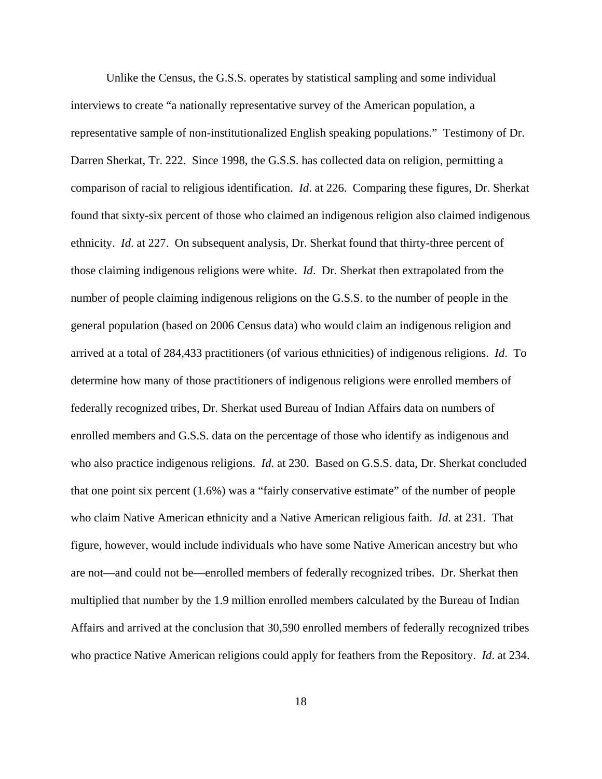Unlike the Census, the G.S.S. operates by statistical sampling and some individual interviews to create "a nationally representative survey of the American population, a representative sample of non-institutionalized English speaking populations." Testimony of Dr. Darren Sherkat, Tr. 222. Since 1998, the G.S.S. has collected data on religion, permitting a comparison of racial to religious identification. *Id*. at 226. Comparing these figures, Dr. Sherkat found that sixty-six percent of those who claimed an indigenous religion also claimed indigenous ethnicity. *Id*. at 227. On subsequent analysis, Dr. Sherkat found that thirty-three percent of those claiming indigenous religions were white. *Id*. Dr. Sherkat then extrapolated from the number of people claiming indigenous religions on the G.S.S. to the number of people in the general population (based on 2006 Census data) who would claim an indigenous religion and arrived at a total of 284,433 practitioners (of various ethnicities) of indigenous religions. *Id*. To determine how many of those practitioners of indigenous religions were enrolled members of federally recognized tribes, Dr. Sherkat used Bureau of Indian Affairs data on numbers of enrolled members and G.S.S. data on the percentage of those who identify as indigenous and who also practice indigenous religions. *Id*. at 230. Based on G.S.S. data, Dr. Sherkat concluded that one point six percent (1.6%) was a "fairly conservative estimate" of the number of people who claim Native American ethnicity and a Native American religious faith. *Id*. at 231. That figure, however, would include individuals who have some Native American ancestry but who are not—and could not be—enrolled members of federally recognized tribes. Dr. Sherkat then multiplied that number by the 1.9 million enrolled members calculated by the Bureau of Indian Affairs and arrived at the conclusion that 30,590 enrolled members of federally recognized tribes who practice Native American religions could apply for feathers from the Repository. *Id*. at 234.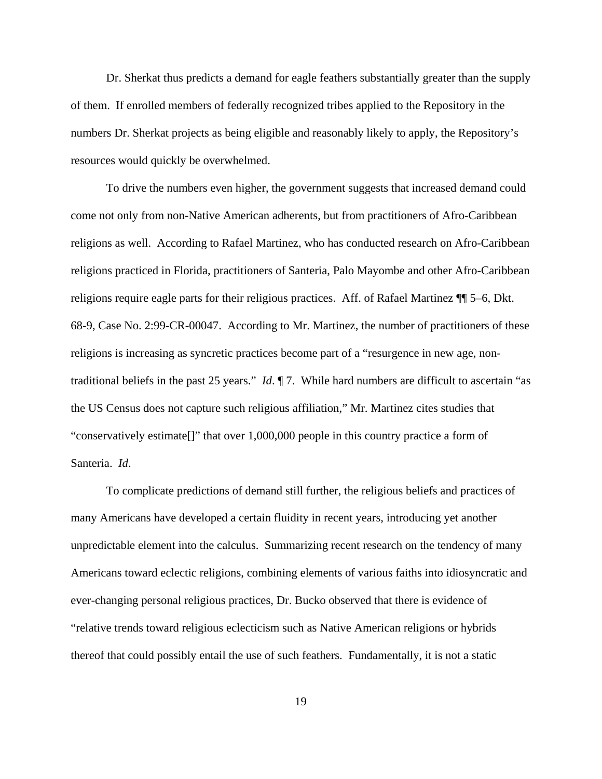Dr. Sherkat thus predicts a demand for eagle feathers substantially greater than the supply of them. If enrolled members of federally recognized tribes applied to the Repository in the numbers Dr. Sherkat projects as being eligible and reasonably likely to apply, the Repository's resources would quickly be overwhelmed.

To drive the numbers even higher, the government suggests that increased demand could come not only from non-Native American adherents, but from practitioners of Afro-Caribbean religions as well. According to Rafael Martinez, who has conducted research on Afro-Caribbean religions practiced in Florida, practitioners of Santeria, Palo Mayombe and other Afro-Caribbean religions require eagle parts for their religious practices. Aff. of Rafael Martinez ¶¶ 5–6, Dkt. 68-9, Case No. 2:99-CR-00047. According to Mr. Martinez, the number of practitioners of these religions is increasing as syncretic practices become part of a "resurgence in new age, nontraditional beliefs in the past 25 years." *Id*. ¶ 7. While hard numbers are difficult to ascertain "as the US Census does not capture such religious affiliation," Mr. Martinez cites studies that "conservatively estimate[]" that over 1,000,000 people in this country practice a form of Santeria. *Id*.

To complicate predictions of demand still further, the religious beliefs and practices of many Americans have developed a certain fluidity in recent years, introducing yet another unpredictable element into the calculus. Summarizing recent research on the tendency of many Americans toward eclectic religions, combining elements of various faiths into idiosyncratic and ever-changing personal religious practices, Dr. Bucko observed that there is evidence of "relative trends toward religious eclecticism such as Native American religions or hybrids thereof that could possibly entail the use of such feathers. Fundamentally, it is not a static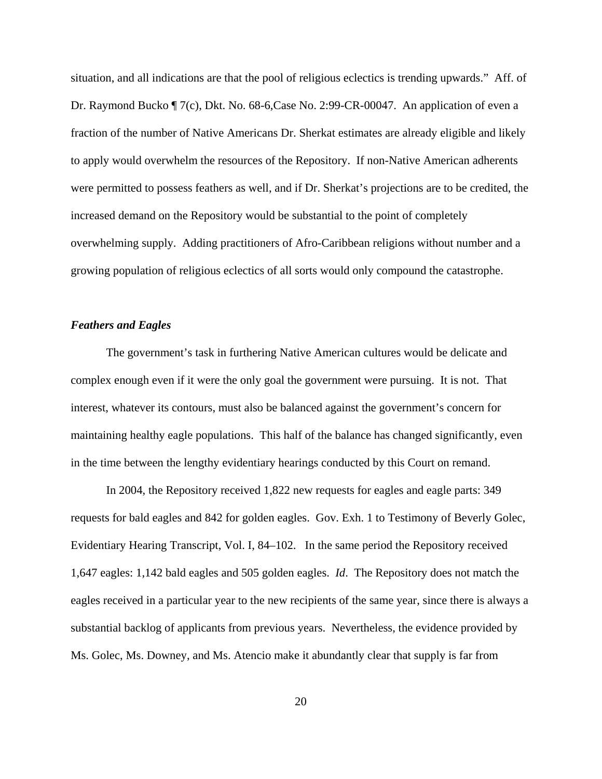situation, and all indications are that the pool of religious eclectics is trending upwards." Aff. of Dr. Raymond Bucko ¶ 7(c), Dkt. No. 68-6,Case No. 2:99-CR-00047. An application of even a fraction of the number of Native Americans Dr. Sherkat estimates are already eligible and likely to apply would overwhelm the resources of the Repository. If non-Native American adherents were permitted to possess feathers as well, and if Dr. Sherkat's projections are to be credited, the increased demand on the Repository would be substantial to the point of completely overwhelming supply. Adding practitioners of Afro-Caribbean religions without number and a growing population of religious eclectics of all sorts would only compound the catastrophe.

### *Feathers and Eagles*

The government's task in furthering Native American cultures would be delicate and complex enough even if it were the only goal the government were pursuing. It is not. That interest, whatever its contours, must also be balanced against the government's concern for maintaining healthy eagle populations. This half of the balance has changed significantly, even in the time between the lengthy evidentiary hearings conducted by this Court on remand.

In 2004, the Repository received 1,822 new requests for eagles and eagle parts: 349 requests for bald eagles and 842 for golden eagles. Gov. Exh. 1 to Testimony of Beverly Golec, Evidentiary Hearing Transcript, Vol. I, 84–102. In the same period the Repository received 1,647 eagles: 1,142 bald eagles and 505 golden eagles. *Id*. The Repository does not match the eagles received in a particular year to the new recipients of the same year, since there is always a substantial backlog of applicants from previous years. Nevertheless, the evidence provided by Ms. Golec, Ms. Downey, and Ms. Atencio make it abundantly clear that supply is far from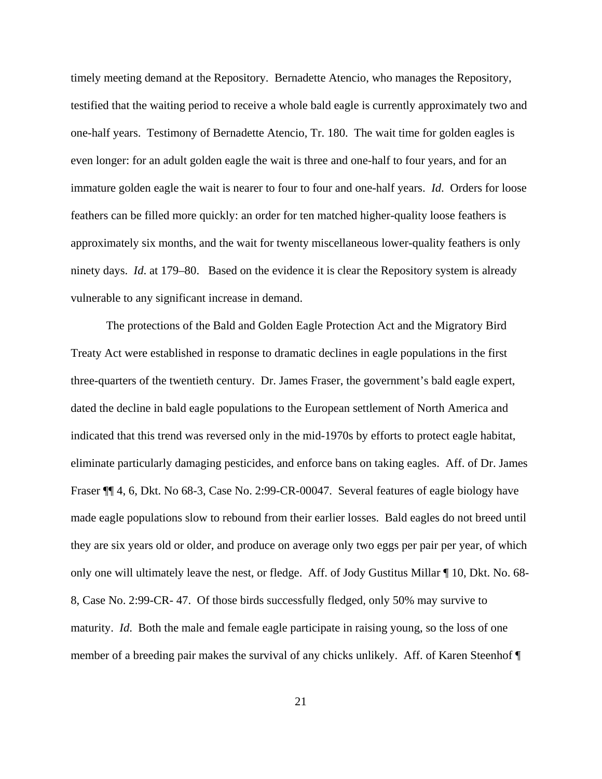timely meeting demand at the Repository. Bernadette Atencio, who manages the Repository, testified that the waiting period to receive a whole bald eagle is currently approximately two and one-half years. Testimony of Bernadette Atencio, Tr. 180. The wait time for golden eagles is even longer: for an adult golden eagle the wait is three and one-half to four years, and for an immature golden eagle the wait is nearer to four to four and one-half years. *Id*. Orders for loose feathers can be filled more quickly: an order for ten matched higher-quality loose feathers is approximately six months, and the wait for twenty miscellaneous lower-quality feathers is only ninety days. *Id*. at 179–80. Based on the evidence it is clear the Repository system is already vulnerable to any significant increase in demand.

The protections of the Bald and Golden Eagle Protection Act and the Migratory Bird Treaty Act were established in response to dramatic declines in eagle populations in the first three-quarters of the twentieth century. Dr. James Fraser, the government's bald eagle expert, dated the decline in bald eagle populations to the European settlement of North America and indicated that this trend was reversed only in the mid-1970s by efforts to protect eagle habitat, eliminate particularly damaging pesticides, and enforce bans on taking eagles. Aff. of Dr. James Fraser ¶¶ 4, 6, Dkt. No 68-3, Case No. 2:99-CR-00047. Several features of eagle biology have made eagle populations slow to rebound from their earlier losses. Bald eagles do not breed until they are six years old or older, and produce on average only two eggs per pair per year, of which only one will ultimately leave the nest, or fledge. Aff. of Jody Gustitus Millar ¶ 10, Dkt. No. 68- 8, Case No. 2:99-CR- 47. Of those birds successfully fledged, only 50% may survive to maturity. *Id*. Both the male and female eagle participate in raising young, so the loss of one member of a breeding pair makes the survival of any chicks unlikely. Aff. of Karen Steenhof ¶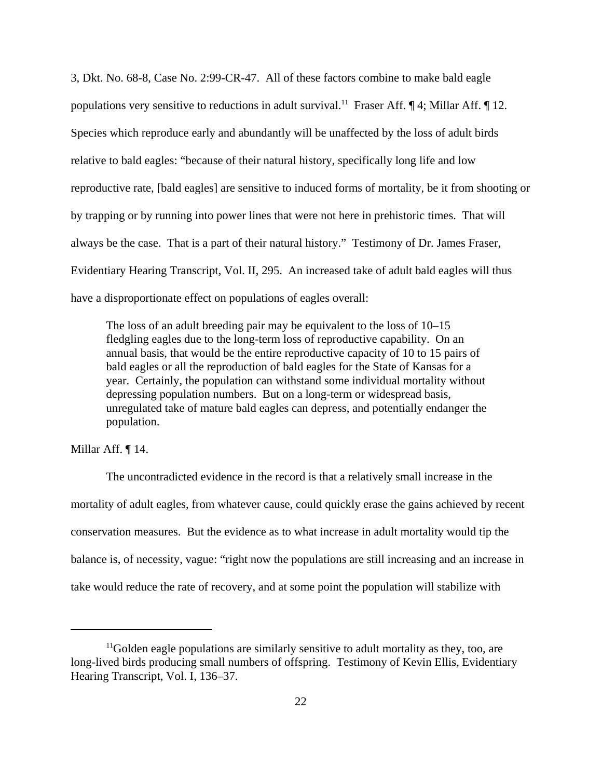3, Dkt. No. 68-8, Case No. 2:99-CR-47. All of these factors combine to make bald eagle populations very sensitive to reductions in adult survival.<sup>11</sup> Fraser Aff.  $\P$  4; Millar Aff.  $\P$  12. Species which reproduce early and abundantly will be unaffected by the loss of adult birds relative to bald eagles: "because of their natural history, specifically long life and low reproductive rate, [bald eagles] are sensitive to induced forms of mortality, be it from shooting or by trapping or by running into power lines that were not here in prehistoric times. That will always be the case. That is a part of their natural history." Testimony of Dr. James Fraser, Evidentiary Hearing Transcript, Vol. II, 295. An increased take of adult bald eagles will thus have a disproportionate effect on populations of eagles overall:

The loss of an adult breeding pair may be equivalent to the loss of 10–15 fledgling eagles due to the long-term loss of reproductive capability. On an annual basis, that would be the entire reproductive capacity of 10 to 15 pairs of bald eagles or all the reproduction of bald eagles for the State of Kansas for a year. Certainly, the population can withstand some individual mortality without depressing population numbers. But on a long-term or widespread basis, unregulated take of mature bald eagles can depress, and potentially endanger the population.

Millar Aff. ¶ 14.

The uncontradicted evidence in the record is that a relatively small increase in the mortality of adult eagles, from whatever cause, could quickly erase the gains achieved by recent conservation measures. But the evidence as to what increase in adult mortality would tip the balance is, of necessity, vague: "right now the populations are still increasing and an increase in take would reduce the rate of recovery, and at some point the population will stabilize with

 $11$ Golden eagle populations are similarly sensitive to adult mortality as they, too, are long-lived birds producing small numbers of offspring. Testimony of Kevin Ellis, Evidentiary Hearing Transcript, Vol. I, 136–37.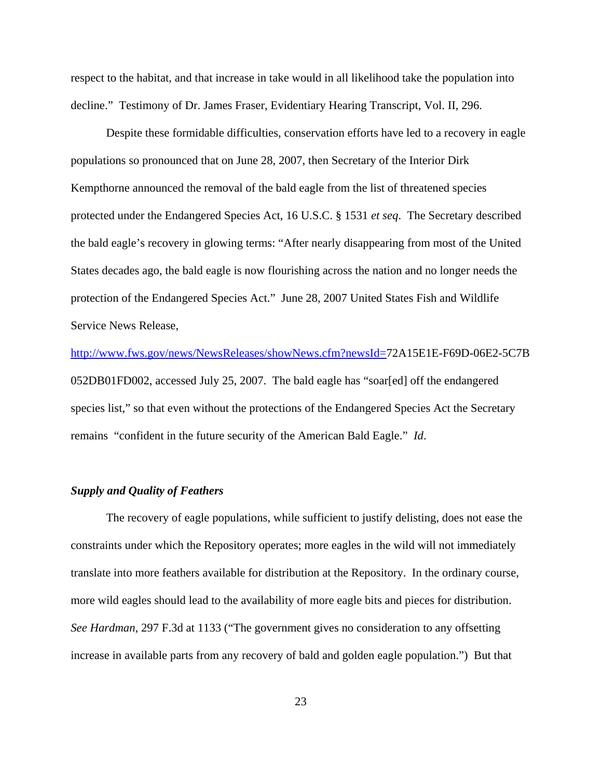respect to the habitat, and that increase in take would in all likelihood take the population into decline." Testimony of Dr. James Fraser, Evidentiary Hearing Transcript, Vol. II, 296.

Despite these formidable difficulties, conservation efforts have led to a recovery in eagle populations so pronounced that on June 28, 2007, then Secretary of the Interior Dirk Kempthorne announced the removal of the bald eagle from the list of threatened species protected under the Endangered Species Act, 16 U.S.C. § 1531 *et seq*. The Secretary described the bald eagle's recovery in glowing terms: "After nearly disappearing from most of the United States decades ago, the bald eagle is now flourishing across the nation and no longer needs the protection of the Endangered Species Act." June 28, 2007 United States Fish and Wildlife Service News Release,

http://www.fws.gov/news/NewsReleases/showNews.cfm?newsId=72A15E1E-F69D-06E2-5C7B 052DB01FD002, accessed July 25, 2007. The bald eagle has "soar[ed] off the endangered species list," so that even without the protections of the Endangered Species Act the Secretary remains "confident in the future security of the American Bald Eagle." *Id*.

#### *Supply and Quality of Feathers*

The recovery of eagle populations, while sufficient to justify delisting, does not ease the constraints under which the Repository operates; more eagles in the wild will not immediately translate into more feathers available for distribution at the Repository. In the ordinary course, more wild eagles should lead to the availability of more eagle bits and pieces for distribution. *See Hardman*, 297 F.3d at 1133 ("The government gives no consideration to any offsetting increase in available parts from any recovery of bald and golden eagle population.") But that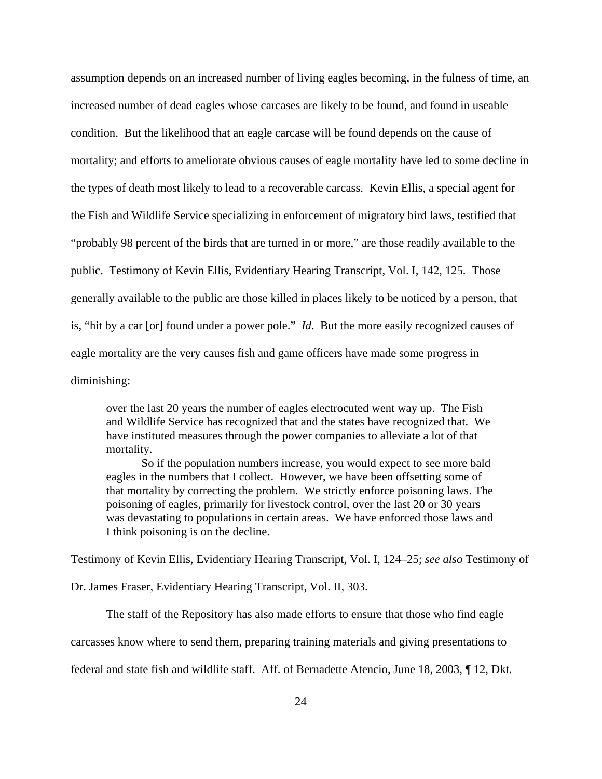assumption depends on an increased number of living eagles becoming, in the fulness of time, an increased number of dead eagles whose carcases are likely to be found, and found in useable condition. But the likelihood that an eagle carcase will be found depends on the cause of mortality; and efforts to ameliorate obvious causes of eagle mortality have led to some decline in the types of death most likely to lead to a recoverable carcass. Kevin Ellis, a special agent for the Fish and Wildlife Service specializing in enforcement of migratory bird laws, testified that "probably 98 percent of the birds that are turned in or more," are those readily available to the public. Testimony of Kevin Ellis, Evidentiary Hearing Transcript, Vol. I, 142, 125. Those generally available to the public are those killed in places likely to be noticed by a person, that is, "hit by a car [or] found under a power pole." *Id*. But the more easily recognized causes of eagle mortality are the very causes fish and game officers have made some progress in diminishing:

over the last 20 years the number of eagles electrocuted went way up. The Fish and Wildlife Service has recognized that and the states have recognized that. We have instituted measures through the power companies to alleviate a lot of that mortality.

So if the population numbers increase, you would expect to see more bald eagles in the numbers that I collect. However, we have been offsetting some of that mortality by correcting the problem. We strictly enforce poisoning laws. The poisoning of eagles, primarily for livestock control, over the last 20 or 30 years was devastating to populations in certain areas. We have enforced those laws and I think poisoning is on the decline.

Testimony of Kevin Ellis, Evidentiary Hearing Transcript, Vol. I, 124–25; *see also* Testimony of

Dr. James Fraser, Evidentiary Hearing Transcript, Vol. II, 303.

The staff of the Repository has also made efforts to ensure that those who find eagle

carcasses know where to send them, preparing training materials and giving presentations to

federal and state fish and wildlife staff. Aff. of Bernadette Atencio, June 18, 2003, ¶ 12, Dkt.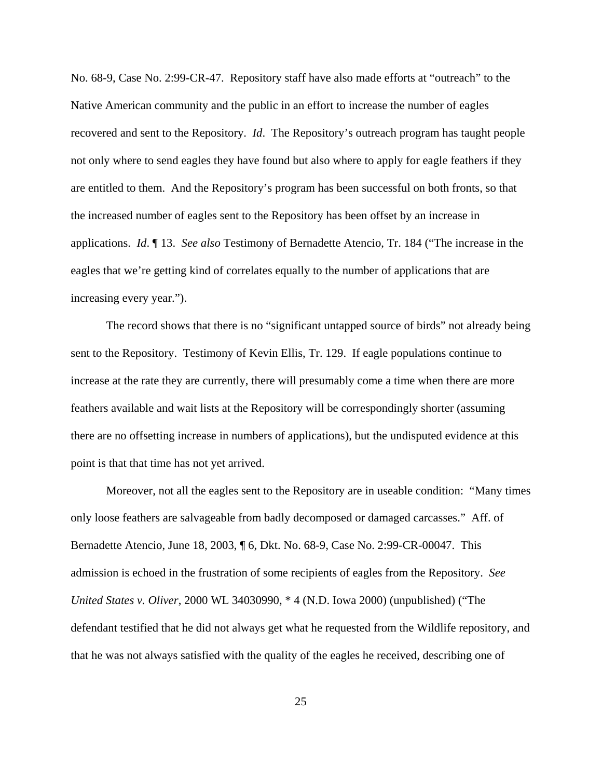No. 68-9, Case No. 2:99-CR-47. Repository staff have also made efforts at "outreach" to the Native American community and the public in an effort to increase the number of eagles recovered and sent to the Repository. *Id*. The Repository's outreach program has taught people not only where to send eagles they have found but also where to apply for eagle feathers if they are entitled to them. And the Repository's program has been successful on both fronts, so that the increased number of eagles sent to the Repository has been offset by an increase in applications. *Id*. ¶ 13. *See also* Testimony of Bernadette Atencio, Tr. 184 ("The increase in the eagles that we're getting kind of correlates equally to the number of applications that are increasing every year.").

The record shows that there is no "significant untapped source of birds" not already being sent to the Repository. Testimony of Kevin Ellis, Tr. 129. If eagle populations continue to increase at the rate they are currently, there will presumably come a time when there are more feathers available and wait lists at the Repository will be correspondingly shorter (assuming there are no offsetting increase in numbers of applications), but the undisputed evidence at this point is that that time has not yet arrived.

Moreover, not all the eagles sent to the Repository are in useable condition: "Many times only loose feathers are salvageable from badly decomposed or damaged carcasses." Aff. of Bernadette Atencio, June 18, 2003, ¶ 6, Dkt. No. 68-9, Case No. 2:99-CR-00047. This admission is echoed in the frustration of some recipients of eagles from the Repository. *See United States v. Oliver*, 2000 WL 34030990, \* 4 (N.D. Iowa 2000) (unpublished) ("The defendant testified that he did not always get what he requested from the Wildlife repository, and that he was not always satisfied with the quality of the eagles he received, describing one of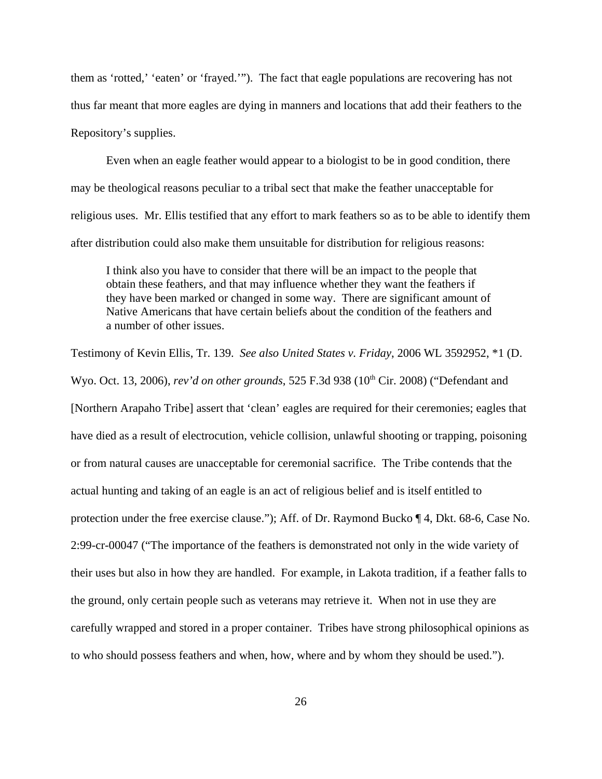them as 'rotted,' 'eaten' or 'frayed.'"). The fact that eagle populations are recovering has not thus far meant that more eagles are dying in manners and locations that add their feathers to the Repository's supplies.

Even when an eagle feather would appear to a biologist to be in good condition, there may be theological reasons peculiar to a tribal sect that make the feather unacceptable for religious uses. Mr. Ellis testified that any effort to mark feathers so as to be able to identify them after distribution could also make them unsuitable for distribution for religious reasons:

I think also you have to consider that there will be an impact to the people that obtain these feathers, and that may influence whether they want the feathers if they have been marked or changed in some way. There are significant amount of Native Americans that have certain beliefs about the condition of the feathers and a number of other issues.

Testimony of Kevin Ellis, Tr. 139. *See also United States v. Friday*, 2006 WL 3592952, \*1 (D. Wyo. Oct. 13, 2006), *rev'd on other grounds*, 525 F.3d 938 (10<sup>th</sup> Cir. 2008) ("Defendant and [Northern Arapaho Tribe] assert that 'clean' eagles are required for their ceremonies; eagles that have died as a result of electrocution, vehicle collision, unlawful shooting or trapping, poisoning or from natural causes are unacceptable for ceremonial sacrifice. The Tribe contends that the actual hunting and taking of an eagle is an act of religious belief and is itself entitled to protection under the free exercise clause."); Aff. of Dr. Raymond Bucko ¶ 4, Dkt. 68-6, Case No. 2:99-cr-00047 ("The importance of the feathers is demonstrated not only in the wide variety of their uses but also in how they are handled. For example, in Lakota tradition, if a feather falls to the ground, only certain people such as veterans may retrieve it. When not in use they are carefully wrapped and stored in a proper container. Tribes have strong philosophical opinions as to who should possess feathers and when, how, where and by whom they should be used.").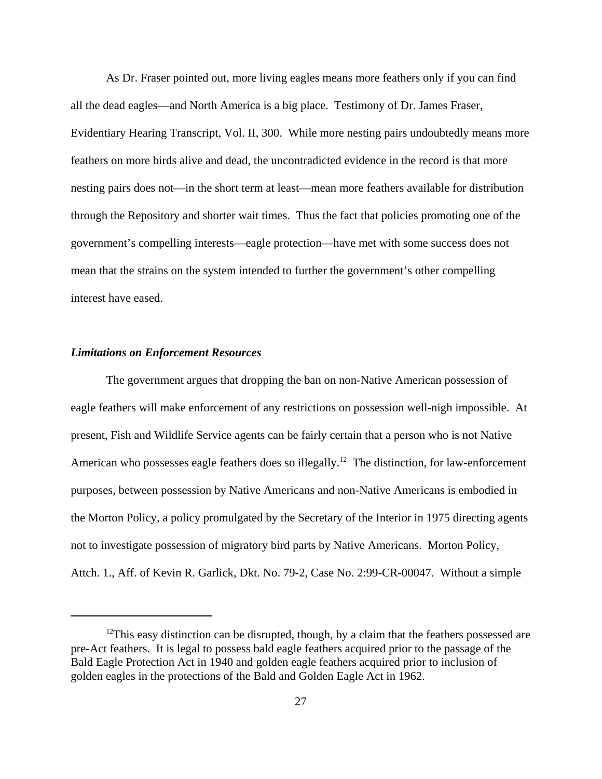As Dr. Fraser pointed out, more living eagles means more feathers only if you can find all the dead eagles—and North America is a big place. Testimony of Dr. James Fraser, Evidentiary Hearing Transcript, Vol. II, 300. While more nesting pairs undoubtedly means more feathers on more birds alive and dead, the uncontradicted evidence in the record is that more nesting pairs does not—in the short term at least—mean more feathers available for distribution through the Repository and shorter wait times. Thus the fact that policies promoting one of the government's compelling interests—eagle protection—have met with some success does not mean that the strains on the system intended to further the government's other compelling interest have eased.

#### *Limitations on Enforcement Resources*

The government argues that dropping the ban on non-Native American possession of eagle feathers will make enforcement of any restrictions on possession well-nigh impossible. At present, Fish and Wildlife Service agents can be fairly certain that a person who is not Native American who possesses eagle feathers does so illegally.<sup>12</sup> The distinction, for law-enforcement purposes, between possession by Native Americans and non-Native Americans is embodied in the Morton Policy, a policy promulgated by the Secretary of the Interior in 1975 directing agents not to investigate possession of migratory bird parts by Native Americans. Morton Policy, Attch. 1., Aff. of Kevin R. Garlick, Dkt. No. 79-2, Case No. 2:99-CR-00047. Without a simple

 $12$ This easy distinction can be disrupted, though, by a claim that the feathers possessed are pre-Act feathers. It is legal to possess bald eagle feathers acquired prior to the passage of the Bald Eagle Protection Act in 1940 and golden eagle feathers acquired prior to inclusion of golden eagles in the protections of the Bald and Golden Eagle Act in 1962.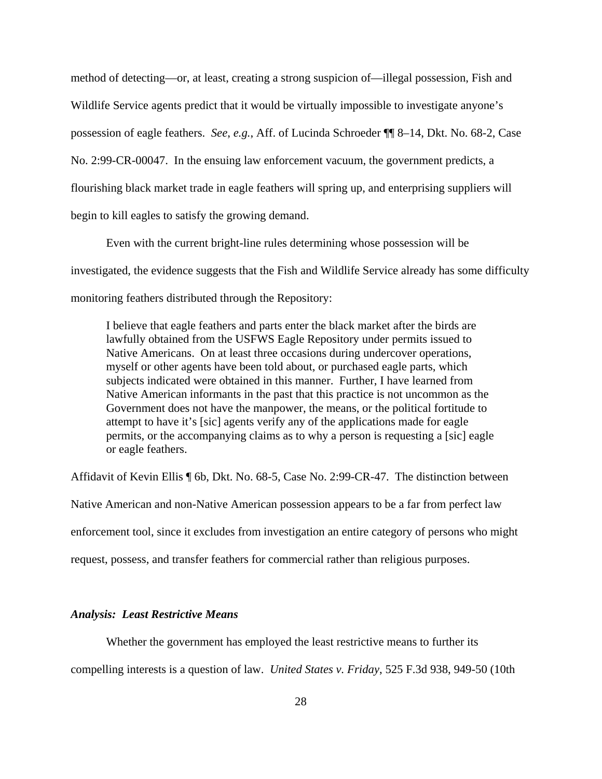method of detecting—or, at least, creating a strong suspicion of—illegal possession, Fish and Wildlife Service agents predict that it would be virtually impossible to investigate anyone's possession of eagle feathers. *See*, *e.g.*, Aff. of Lucinda Schroeder ¶¶ 8–14, Dkt. No. 68-2, Case No. 2:99-CR-00047. In the ensuing law enforcement vacuum, the government predicts, a flourishing black market trade in eagle feathers will spring up, and enterprising suppliers will begin to kill eagles to satisfy the growing demand.

Even with the current bright-line rules determining whose possession will be investigated, the evidence suggests that the Fish and Wildlife Service already has some difficulty monitoring feathers distributed through the Repository:

I believe that eagle feathers and parts enter the black market after the birds are lawfully obtained from the USFWS Eagle Repository under permits issued to Native Americans. On at least three occasions during undercover operations, myself or other agents have been told about, or purchased eagle parts, which subjects indicated were obtained in this manner. Further, I have learned from Native American informants in the past that this practice is not uncommon as the Government does not have the manpower, the means, or the political fortitude to attempt to have it's [sic] agents verify any of the applications made for eagle permits, or the accompanying claims as to why a person is requesting a [sic] eagle or eagle feathers.

Affidavit of Kevin Ellis ¶ 6b, Dkt. No. 68-5, Case No. 2:99-CR-47. The distinction between Native American and non-Native American possession appears to be a far from perfect law enforcement tool, since it excludes from investigation an entire category of persons who might request, possess, and transfer feathers for commercial rather than religious purposes.

# *Analysis: Least Restrictive Means*

Whether the government has employed the least restrictive means to further its compelling interests is a question of law. *United States v. Friday*, 525 F.3d 938, 949-50 (10th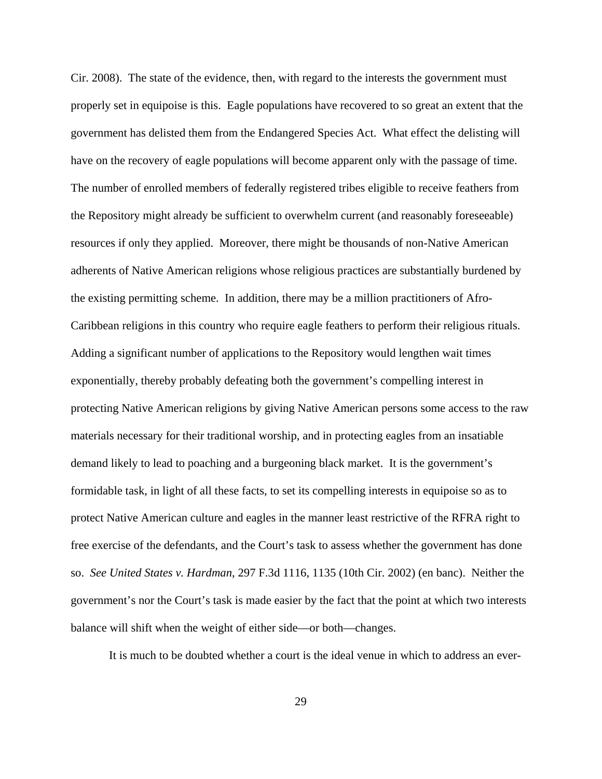Cir. 2008). The state of the evidence, then, with regard to the interests the government must properly set in equipoise is this. Eagle populations have recovered to so great an extent that the government has delisted them from the Endangered Species Act. What effect the delisting will have on the recovery of eagle populations will become apparent only with the passage of time. The number of enrolled members of federally registered tribes eligible to receive feathers from the Repository might already be sufficient to overwhelm current (and reasonably foreseeable) resources if only they applied. Moreover, there might be thousands of non-Native American adherents of Native American religions whose religious practices are substantially burdened by the existing permitting scheme. In addition, there may be a million practitioners of Afro-Caribbean religions in this country who require eagle feathers to perform their religious rituals. Adding a significant number of applications to the Repository would lengthen wait times exponentially, thereby probably defeating both the government's compelling interest in protecting Native American religions by giving Native American persons some access to the raw materials necessary for their traditional worship, and in protecting eagles from an insatiable demand likely to lead to poaching and a burgeoning black market. It is the government's formidable task, in light of all these facts, to set its compelling interests in equipoise so as to protect Native American culture and eagles in the manner least restrictive of the RFRA right to free exercise of the defendants, and the Court's task to assess whether the government has done so. *See United States v. Hardman*, 297 F.3d 1116, 1135 (10th Cir. 2002) (en banc). Neither the government's nor the Court's task is made easier by the fact that the point at which two interests balance will shift when the weight of either side—or both—changes.

It is much to be doubted whether a court is the ideal venue in which to address an ever-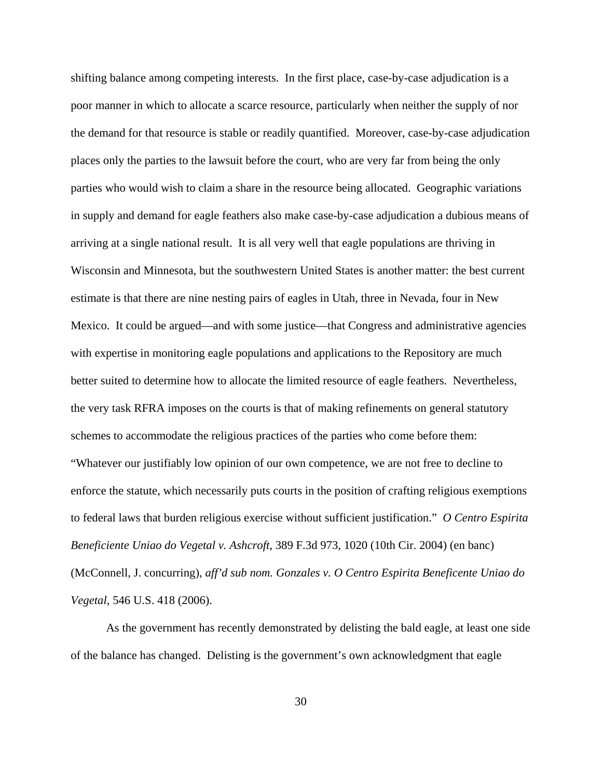shifting balance among competing interests. In the first place, case-by-case adjudication is a poor manner in which to allocate a scarce resource, particularly when neither the supply of nor the demand for that resource is stable or readily quantified. Moreover, case-by-case adjudication places only the parties to the lawsuit before the court, who are very far from being the only parties who would wish to claim a share in the resource being allocated. Geographic variations in supply and demand for eagle feathers also make case-by-case adjudication a dubious means of arriving at a single national result. It is all very well that eagle populations are thriving in Wisconsin and Minnesota, but the southwestern United States is another matter: the best current estimate is that there are nine nesting pairs of eagles in Utah, three in Nevada, four in New Mexico. It could be argued—and with some justice—that Congress and administrative agencies with expertise in monitoring eagle populations and applications to the Repository are much better suited to determine how to allocate the limited resource of eagle feathers. Nevertheless, the very task RFRA imposes on the courts is that of making refinements on general statutory schemes to accommodate the religious practices of the parties who come before them: "Whatever our justifiably low opinion of our own competence, we are not free to decline to enforce the statute, which necessarily puts courts in the position of crafting religious exemptions to federal laws that burden religious exercise without sufficient justification." *O Centro Espirita Beneficiente Uniao do Vegetal v. Ashcroft*, 389 F.3d 973, 1020 (10th Cir. 2004) (en banc) (McConnell, J. concurring), *aff'd sub nom. Gonzales v. O Centro Espirita Beneficente Uniao do Vegetal,* 546 U.S. 418 (2006).

As the government has recently demonstrated by delisting the bald eagle, at least one side of the balance has changed. Delisting is the government's own acknowledgment that eagle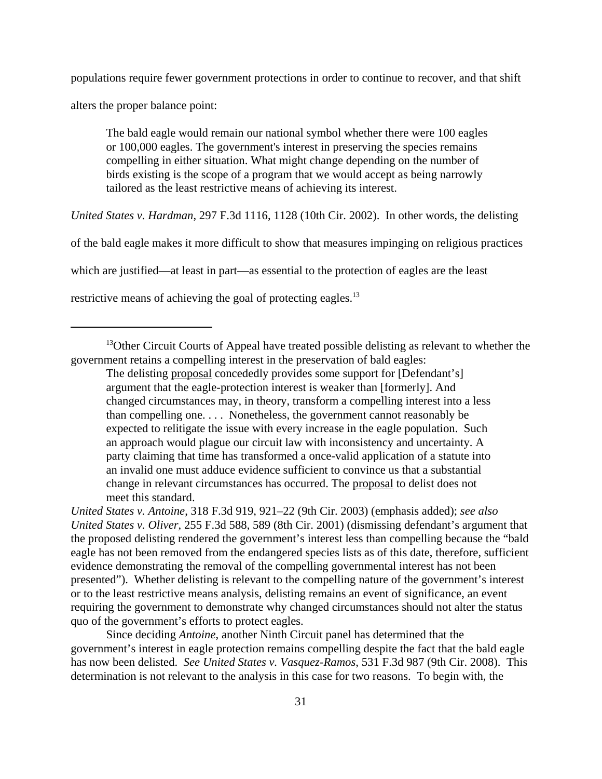populations require fewer government protections in order to continue to recover, and that shift

alters the proper balance point:

The bald eagle would remain our national symbol whether there were 100 eagles or 100,000 eagles. The government's interest in preserving the species remains compelling in either situation. What might change depending on the number of birds existing is the scope of a program that we would accept as being narrowly tailored as the least restrictive means of achieving its interest.

*United States v. Hardman*, 297 F.3d 1116, 1128 (10th Cir. 2002). In other words, the delisting

of the bald eagle makes it more difficult to show that measures impinging on religious practices

which are justified—at least in part—as essential to the protection of eagles are the least

restrictive means of achieving the goal of protecting eagles.<sup>13</sup>

<sup>13</sup>Other Circuit Courts of Appeal have treated possible delisting as relevant to whether the government retains a compelling interest in the preservation of bald eagles:

The delisting proposal concededly provides some support for [Defendant's] argument that the eagle-protection interest is weaker than [formerly]. And changed circumstances may, in theory, transform a compelling interest into a less than compelling one. . . . Nonetheless, the government cannot reasonably be expected to relitigate the issue with every increase in the eagle population. Such an approach would plague our circuit law with inconsistency and uncertainty. A party claiming that time has transformed a once-valid application of a statute into an invalid one must adduce evidence sufficient to convince us that a substantial change in relevant circumstances has occurred. The proposal to delist does not meet this standard.

*United States v. Antoine*, 318 F.3d 919, 921–22 (9th Cir. 2003) (emphasis added); *see also United States v. Oliver*, 255 F.3d 588, 589 (8th Cir. 2001) (dismissing defendant's argument that the proposed delisting rendered the government's interest less than compelling because the "bald eagle has not been removed from the endangered species lists as of this date, therefore, sufficient evidence demonstrating the removal of the compelling governmental interest has not been presented"). Whether delisting is relevant to the compelling nature of the government's interest or to the least restrictive means analysis, delisting remains an event of significance, an event requiring the government to demonstrate why changed circumstances should not alter the status quo of the government's efforts to protect eagles.

Since deciding *Antoine*, another Ninth Circuit panel has determined that the government's interest in eagle protection remains compelling despite the fact that the bald eagle has now been delisted. *See United States v. Vasquez-Ramos*, 531 F.3d 987 (9th Cir. 2008). This determination is not relevant to the analysis in this case for two reasons. To begin with, the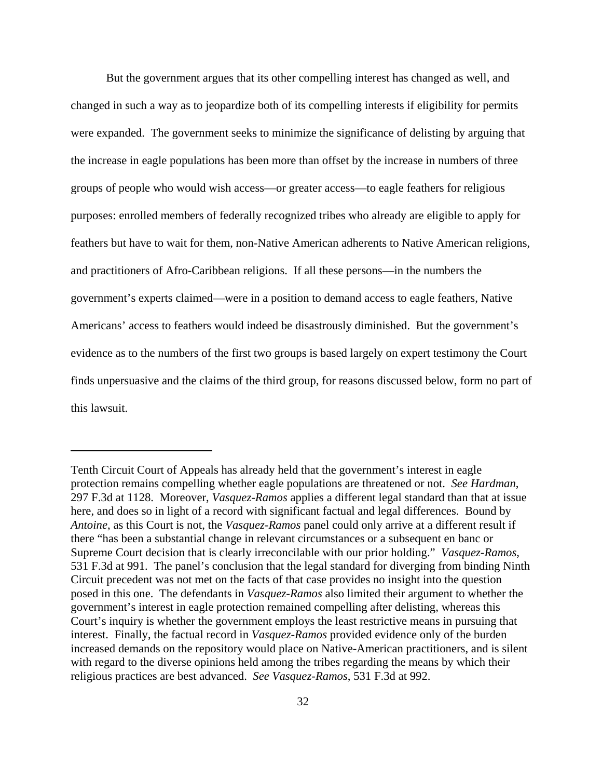But the government argues that its other compelling interest has changed as well, and changed in such a way as to jeopardize both of its compelling interests if eligibility for permits were expanded. The government seeks to minimize the significance of delisting by arguing that the increase in eagle populations has been more than offset by the increase in numbers of three groups of people who would wish access—or greater access—to eagle feathers for religious purposes: enrolled members of federally recognized tribes who already are eligible to apply for feathers but have to wait for them, non-Native American adherents to Native American religions, and practitioners of Afro-Caribbean religions. If all these persons—in the numbers the government's experts claimed—were in a position to demand access to eagle feathers, Native Americans' access to feathers would indeed be disastrously diminished. But the government's evidence as to the numbers of the first two groups is based largely on expert testimony the Court finds unpersuasive and the claims of the third group, for reasons discussed below, form no part of this lawsuit.

Tenth Circuit Court of Appeals has already held that the government's interest in eagle protection remains compelling whether eagle populations are threatened or not. *See Hardman*, 297 F.3d at 1128. Moreover, *Vasquez-Ramos* applies a different legal standard than that at issue here, and does so in light of a record with significant factual and legal differences. Bound by *Antoine*, as this Court is not, the *Vasquez-Ramos* panel could only arrive at a different result if there "has been a substantial change in relevant circumstances or a subsequent en banc or Supreme Court decision that is clearly irreconcilable with our prior holding." *Vasquez-Ramos*, 531 F.3d at 991. The panel's conclusion that the legal standard for diverging from binding Ninth Circuit precedent was not met on the facts of that case provides no insight into the question posed in this one. The defendants in *Vasquez-Ramos* also limited their argument to whether the government's interest in eagle protection remained compelling after delisting, whereas this Court's inquiry is whether the government employs the least restrictive means in pursuing that interest. Finally, the factual record in *Vasquez-Ramos* provided evidence only of the burden increased demands on the repository would place on Native-American practitioners, and is silent with regard to the diverse opinions held among the tribes regarding the means by which their religious practices are best advanced. *See Vasquez-Ramos*, 531 F.3d at 992.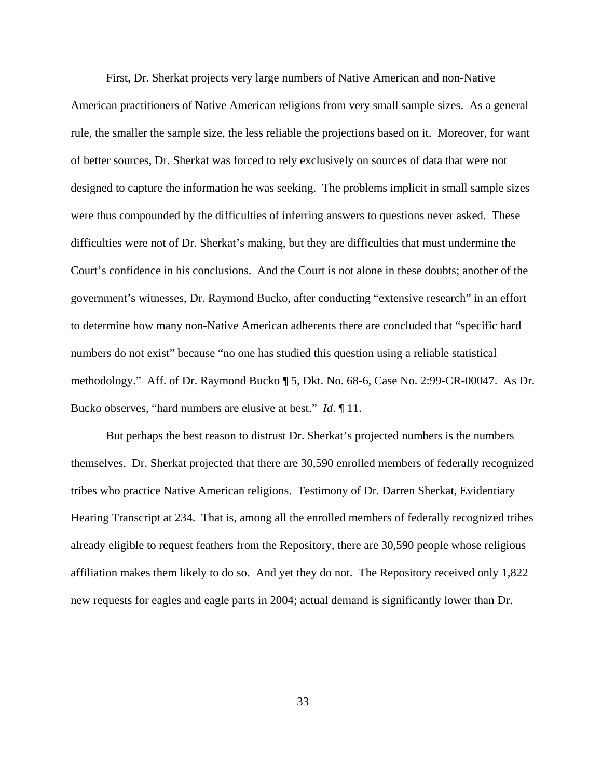First, Dr. Sherkat projects very large numbers of Native American and non-Native American practitioners of Native American religions from very small sample sizes. As a general rule, the smaller the sample size, the less reliable the projections based on it. Moreover, for want of better sources, Dr. Sherkat was forced to rely exclusively on sources of data that were not designed to capture the information he was seeking. The problems implicit in small sample sizes were thus compounded by the difficulties of inferring answers to questions never asked. These difficulties were not of Dr. Sherkat's making, but they are difficulties that must undermine the Court's confidence in his conclusions. And the Court is not alone in these doubts; another of the government's witnesses, Dr. Raymond Bucko, after conducting "extensive research" in an effort to determine how many non-Native American adherents there are concluded that "specific hard numbers do not exist" because "no one has studied this question using a reliable statistical methodology." Aff. of Dr. Raymond Bucko ¶ 5, Dkt. No. 68-6, Case No. 2:99-CR-00047. As Dr. Bucko observes, "hard numbers are elusive at best." *Id*. ¶ 11.

But perhaps the best reason to distrust Dr. Sherkat's projected numbers is the numbers themselves. Dr. Sherkat projected that there are 30,590 enrolled members of federally recognized tribes who practice Native American religions. Testimony of Dr. Darren Sherkat, Evidentiary Hearing Transcript at 234. That is, among all the enrolled members of federally recognized tribes already eligible to request feathers from the Repository, there are 30,590 people whose religious affiliation makes them likely to do so. And yet they do not. The Repository received only 1,822 new requests for eagles and eagle parts in 2004; actual demand is significantly lower than Dr.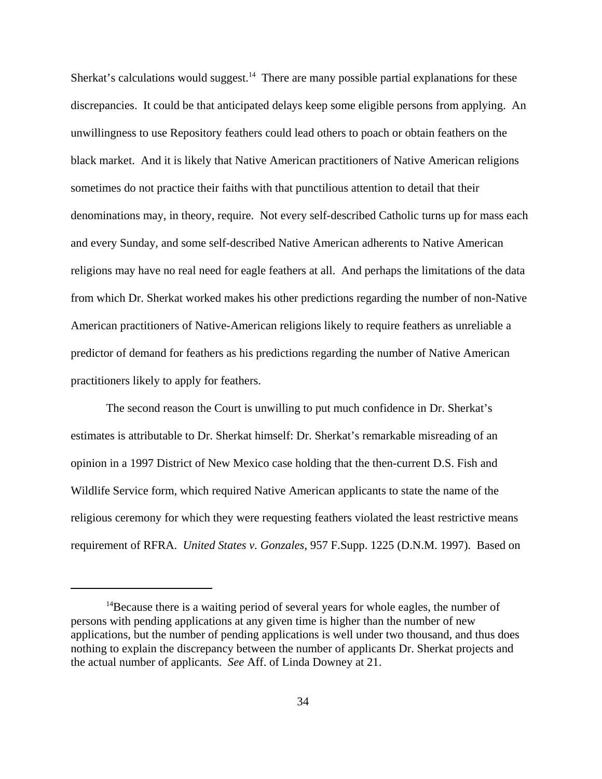Sherkat's calculations would suggest.<sup>14</sup> There are many possible partial explanations for these discrepancies. It could be that anticipated delays keep some eligible persons from applying. An unwillingness to use Repository feathers could lead others to poach or obtain feathers on the black market. And it is likely that Native American practitioners of Native American religions sometimes do not practice their faiths with that punctilious attention to detail that their denominations may, in theory, require. Not every self-described Catholic turns up for mass each and every Sunday, and some self-described Native American adherents to Native American religions may have no real need for eagle feathers at all. And perhaps the limitations of the data from which Dr. Sherkat worked makes his other predictions regarding the number of non-Native American practitioners of Native-American religions likely to require feathers as unreliable a predictor of demand for feathers as his predictions regarding the number of Native American practitioners likely to apply for feathers.

The second reason the Court is unwilling to put much confidence in Dr. Sherkat's estimates is attributable to Dr. Sherkat himself: Dr. Sherkat's remarkable misreading of an opinion in a 1997 District of New Mexico case holding that the then-current D.S. Fish and Wildlife Service form, which required Native American applicants to state the name of the religious ceremony for which they were requesting feathers violated the least restrictive means requirement of RFRA. *United States v. Gonzales*, 957 F.Supp. 1225 (D.N.M. 1997). Based on

 $14$ Because there is a waiting period of several years for whole eagles, the number of persons with pending applications at any given time is higher than the number of new applications, but the number of pending applications is well under two thousand, and thus does nothing to explain the discrepancy between the number of applicants Dr. Sherkat projects and the actual number of applicants. *See* Aff. of Linda Downey at 21.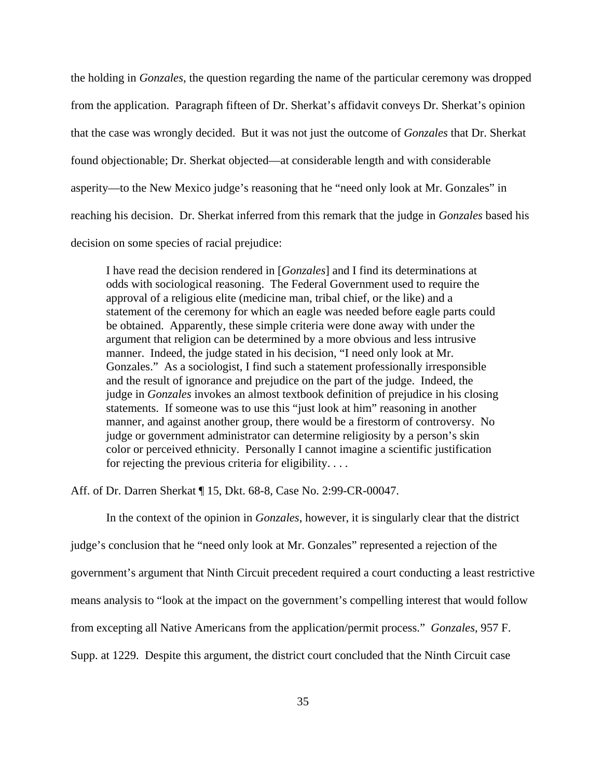the holding in *Gonzales*, the question regarding the name of the particular ceremony was dropped from the application. Paragraph fifteen of Dr. Sherkat's affidavit conveys Dr. Sherkat's opinion that the case was wrongly decided. But it was not just the outcome of *Gonzales* that Dr. Sherkat found objectionable; Dr. Sherkat objected—at considerable length and with considerable asperity—to the New Mexico judge's reasoning that he "need only look at Mr. Gonzales" in reaching his decision. Dr. Sherkat inferred from this remark that the judge in *Gonzales* based his decision on some species of racial prejudice:

I have read the decision rendered in [*Gonzales*] and I find its determinations at odds with sociological reasoning. The Federal Government used to require the approval of a religious elite (medicine man, tribal chief, or the like) and a statement of the ceremony for which an eagle was needed before eagle parts could be obtained. Apparently, these simple criteria were done away with under the argument that religion can be determined by a more obvious and less intrusive manner. Indeed, the judge stated in his decision, "I need only look at Mr. Gonzales." As a sociologist, I find such a statement professionally irresponsible and the result of ignorance and prejudice on the part of the judge. Indeed, the judge in *Gonzales* invokes an almost textbook definition of prejudice in his closing statements. If someone was to use this "just look at him" reasoning in another manner, and against another group, there would be a firestorm of controversy. No judge or government administrator can determine religiosity by a person's skin color or perceived ethnicity. Personally I cannot imagine a scientific justification for rejecting the previous criteria for eligibility. . . .

Aff. of Dr. Darren Sherkat ¶ 15, Dkt. 68-8, Case No. 2:99-CR-00047.

In the context of the opinion in *Gonzales*, however, it is singularly clear that the district judge's conclusion that he "need only look at Mr. Gonzales" represented a rejection of the government's argument that Ninth Circuit precedent required a court conducting a least restrictive means analysis to "look at the impact on the government's compelling interest that would follow from excepting all Native Americans from the application/permit process." *Gonzales*, 957 F. Supp. at 1229. Despite this argument, the district court concluded that the Ninth Circuit case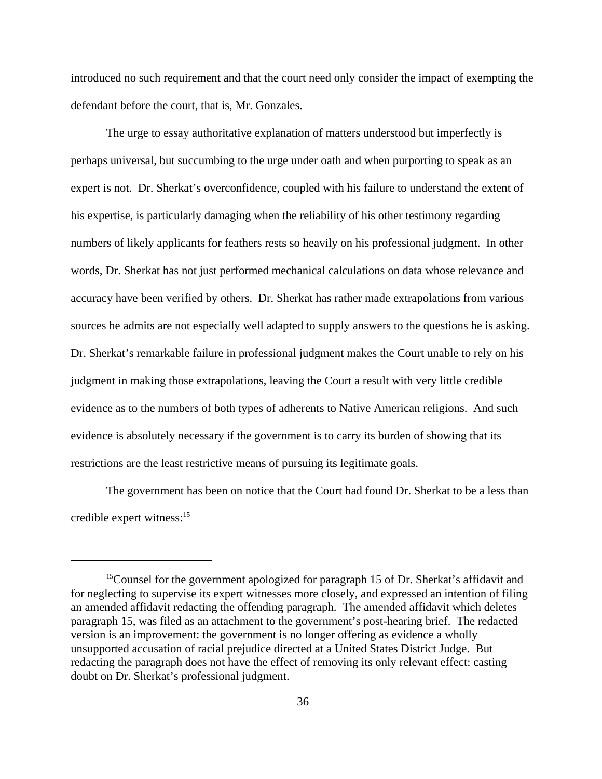introduced no such requirement and that the court need only consider the impact of exempting the defendant before the court, that is, Mr. Gonzales.

The urge to essay authoritative explanation of matters understood but imperfectly is perhaps universal, but succumbing to the urge under oath and when purporting to speak as an expert is not. Dr. Sherkat's overconfidence, coupled with his failure to understand the extent of his expertise, is particularly damaging when the reliability of his other testimony regarding numbers of likely applicants for feathers rests so heavily on his professional judgment. In other words, Dr. Sherkat has not just performed mechanical calculations on data whose relevance and accuracy have been verified by others. Dr. Sherkat has rather made extrapolations from various sources he admits are not especially well adapted to supply answers to the questions he is asking. Dr. Sherkat's remarkable failure in professional judgment makes the Court unable to rely on his judgment in making those extrapolations, leaving the Court a result with very little credible evidence as to the numbers of both types of adherents to Native American religions. And such evidence is absolutely necessary if the government is to carry its burden of showing that its restrictions are the least restrictive means of pursuing its legitimate goals.

The government has been on notice that the Court had found Dr. Sherkat to be a less than credible expert witness: $15$ 

<sup>&</sup>lt;sup>15</sup>Counsel for the government apologized for paragraph 15 of Dr. Sherkat's affidavit and for neglecting to supervise its expert witnesses more closely, and expressed an intention of filing an amended affidavit redacting the offending paragraph. The amended affidavit which deletes paragraph 15, was filed as an attachment to the government's post-hearing brief. The redacted version is an improvement: the government is no longer offering as evidence a wholly unsupported accusation of racial prejudice directed at a United States District Judge. But redacting the paragraph does not have the effect of removing its only relevant effect: casting doubt on Dr. Sherkat's professional judgment.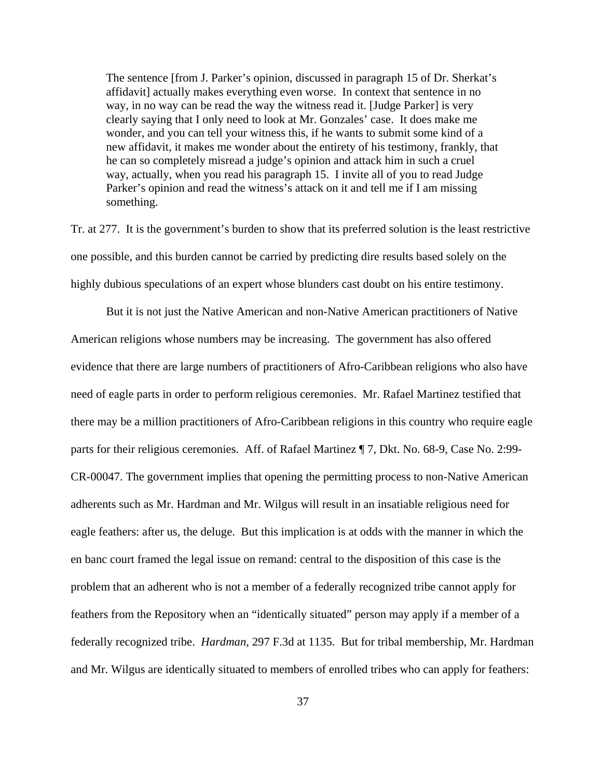The sentence [from J. Parker's opinion, discussed in paragraph 15 of Dr. Sherkat's affidavit] actually makes everything even worse. In context that sentence in no way, in no way can be read the way the witness read it. [Judge Parker] is very clearly saying that I only need to look at Mr. Gonzales' case. It does make me wonder, and you can tell your witness this, if he wants to submit some kind of a new affidavit, it makes me wonder about the entirety of his testimony, frankly, that he can so completely misread a judge's opinion and attack him in such a cruel way, actually, when you read his paragraph 15. I invite all of you to read Judge Parker's opinion and read the witness's attack on it and tell me if I am missing something.

Tr. at 277. It is the government's burden to show that its preferred solution is the least restrictive one possible, and this burden cannot be carried by predicting dire results based solely on the highly dubious speculations of an expert whose blunders cast doubt on his entire testimony.

But it is not just the Native American and non-Native American practitioners of Native American religions whose numbers may be increasing. The government has also offered evidence that there are large numbers of practitioners of Afro-Caribbean religions who also have need of eagle parts in order to perform religious ceremonies. Mr. Rafael Martinez testified that there may be a million practitioners of Afro-Caribbean religions in this country who require eagle parts for their religious ceremonies. Aff. of Rafael Martinez ¶ 7, Dkt. No. 68-9, Case No. 2:99- CR-00047. The government implies that opening the permitting process to non-Native American adherents such as Mr. Hardman and Mr. Wilgus will result in an insatiable religious need for eagle feathers: after us, the deluge. But this implication is at odds with the manner in which the en banc court framed the legal issue on remand: central to the disposition of this case is the problem that an adherent who is not a member of a federally recognized tribe cannot apply for feathers from the Repository when an "identically situated" person may apply if a member of a federally recognized tribe. *Hardman*, 297 F.3d at 1135. But for tribal membership, Mr. Hardman and Mr. Wilgus are identically situated to members of enrolled tribes who can apply for feathers: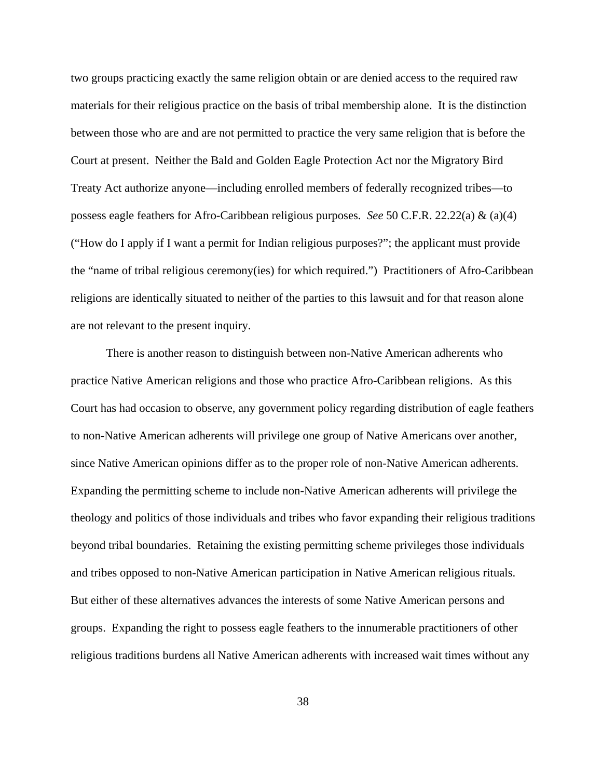two groups practicing exactly the same religion obtain or are denied access to the required raw materials for their religious practice on the basis of tribal membership alone. It is the distinction between those who are and are not permitted to practice the very same religion that is before the Court at present. Neither the Bald and Golden Eagle Protection Act nor the Migratory Bird Treaty Act authorize anyone—including enrolled members of federally recognized tribes—to possess eagle feathers for Afro-Caribbean religious purposes. *See* 50 C.F.R. 22.22(a) & (a)(4) ("How do I apply if I want a permit for Indian religious purposes?"; the applicant must provide the "name of tribal religious ceremony(ies) for which required.") Practitioners of Afro-Caribbean religions are identically situated to neither of the parties to this lawsuit and for that reason alone are not relevant to the present inquiry.

There is another reason to distinguish between non-Native American adherents who practice Native American religions and those who practice Afro-Caribbean religions. As this Court has had occasion to observe, any government policy regarding distribution of eagle feathers to non-Native American adherents will privilege one group of Native Americans over another, since Native American opinions differ as to the proper role of non-Native American adherents. Expanding the permitting scheme to include non-Native American adherents will privilege the theology and politics of those individuals and tribes who favor expanding their religious traditions beyond tribal boundaries. Retaining the existing permitting scheme privileges those individuals and tribes opposed to non-Native American participation in Native American religious rituals. But either of these alternatives advances the interests of some Native American persons and groups. Expanding the right to possess eagle feathers to the innumerable practitioners of other religious traditions burdens all Native American adherents with increased wait times without any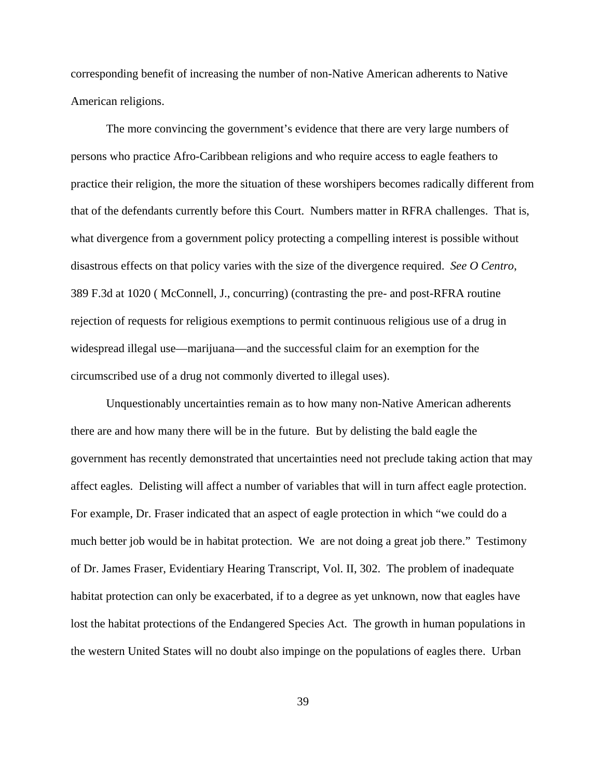corresponding benefit of increasing the number of non-Native American adherents to Native American religions.

The more convincing the government's evidence that there are very large numbers of persons who practice Afro-Caribbean religions and who require access to eagle feathers to practice their religion, the more the situation of these worshipers becomes radically different from that of the defendants currently before this Court. Numbers matter in RFRA challenges. That is, what divergence from a government policy protecting a compelling interest is possible without disastrous effects on that policy varies with the size of the divergence required. *See O Centro*, 389 F.3d at 1020 ( McConnell, J., concurring) (contrasting the pre- and post-RFRA routine rejection of requests for religious exemptions to permit continuous religious use of a drug in widespread illegal use—marijuana—and the successful claim for an exemption for the circumscribed use of a drug not commonly diverted to illegal uses).

Unquestionably uncertainties remain as to how many non-Native American adherents there are and how many there will be in the future. But by delisting the bald eagle the government has recently demonstrated that uncertainties need not preclude taking action that may affect eagles. Delisting will affect a number of variables that will in turn affect eagle protection. For example, Dr. Fraser indicated that an aspect of eagle protection in which "we could do a much better job would be in habitat protection. We are not doing a great job there." Testimony of Dr. James Fraser, Evidentiary Hearing Transcript, Vol. II, 302. The problem of inadequate habitat protection can only be exacerbated, if to a degree as yet unknown, now that eagles have lost the habitat protections of the Endangered Species Act. The growth in human populations in the western United States will no doubt also impinge on the populations of eagles there. Urban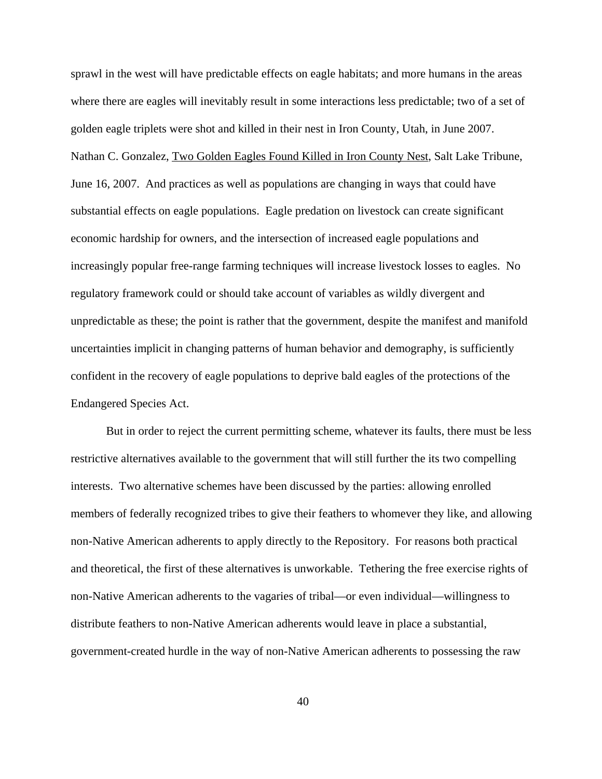sprawl in the west will have predictable effects on eagle habitats; and more humans in the areas where there are eagles will inevitably result in some interactions less predictable; two of a set of golden eagle triplets were shot and killed in their nest in Iron County, Utah, in June 2007. Nathan C. Gonzalez, Two Golden Eagles Found Killed in Iron County Nest, Salt Lake Tribune, June 16, 2007. And practices as well as populations are changing in ways that could have substantial effects on eagle populations. Eagle predation on livestock can create significant economic hardship for owners, and the intersection of increased eagle populations and increasingly popular free-range farming techniques will increase livestock losses to eagles. No regulatory framework could or should take account of variables as wildly divergent and unpredictable as these; the point is rather that the government, despite the manifest and manifold uncertainties implicit in changing patterns of human behavior and demography, is sufficiently confident in the recovery of eagle populations to deprive bald eagles of the protections of the Endangered Species Act.

But in order to reject the current permitting scheme, whatever its faults, there must be less restrictive alternatives available to the government that will still further the its two compelling interests. Two alternative schemes have been discussed by the parties: allowing enrolled members of federally recognized tribes to give their feathers to whomever they like, and allowing non-Native American adherents to apply directly to the Repository. For reasons both practical and theoretical, the first of these alternatives is unworkable. Tethering the free exercise rights of non-Native American adherents to the vagaries of tribal—or even individual—willingness to distribute feathers to non-Native American adherents would leave in place a substantial, government-created hurdle in the way of non-Native American adherents to possessing the raw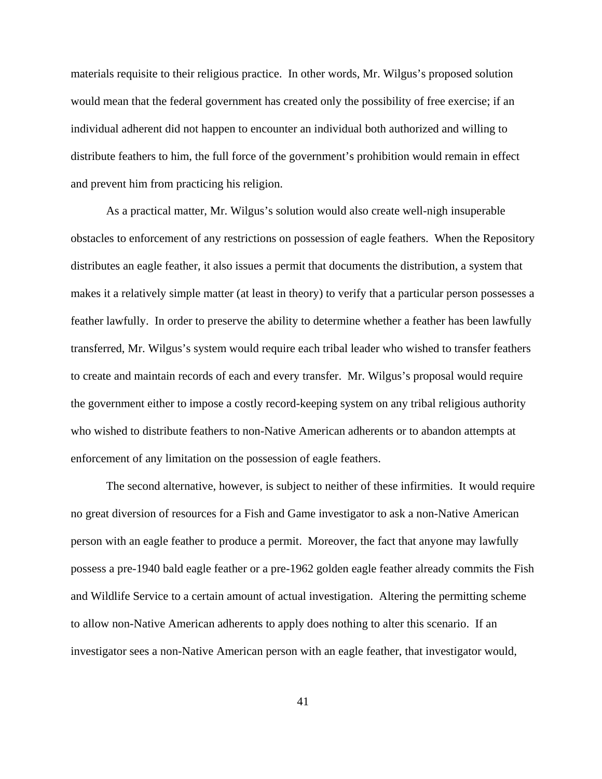materials requisite to their religious practice. In other words, Mr. Wilgus's proposed solution would mean that the federal government has created only the possibility of free exercise; if an individual adherent did not happen to encounter an individual both authorized and willing to distribute feathers to him, the full force of the government's prohibition would remain in effect and prevent him from practicing his religion.

As a practical matter, Mr. Wilgus's solution would also create well-nigh insuperable obstacles to enforcement of any restrictions on possession of eagle feathers. When the Repository distributes an eagle feather, it also issues a permit that documents the distribution, a system that makes it a relatively simple matter (at least in theory) to verify that a particular person possesses a feather lawfully. In order to preserve the ability to determine whether a feather has been lawfully transferred, Mr. Wilgus's system would require each tribal leader who wished to transfer feathers to create and maintain records of each and every transfer. Mr. Wilgus's proposal would require the government either to impose a costly record-keeping system on any tribal religious authority who wished to distribute feathers to non-Native American adherents or to abandon attempts at enforcement of any limitation on the possession of eagle feathers.

The second alternative, however, is subject to neither of these infirmities. It would require no great diversion of resources for a Fish and Game investigator to ask a non-Native American person with an eagle feather to produce a permit. Moreover, the fact that anyone may lawfully possess a pre-1940 bald eagle feather or a pre-1962 golden eagle feather already commits the Fish and Wildlife Service to a certain amount of actual investigation. Altering the permitting scheme to allow non-Native American adherents to apply does nothing to alter this scenario. If an investigator sees a non-Native American person with an eagle feather, that investigator would,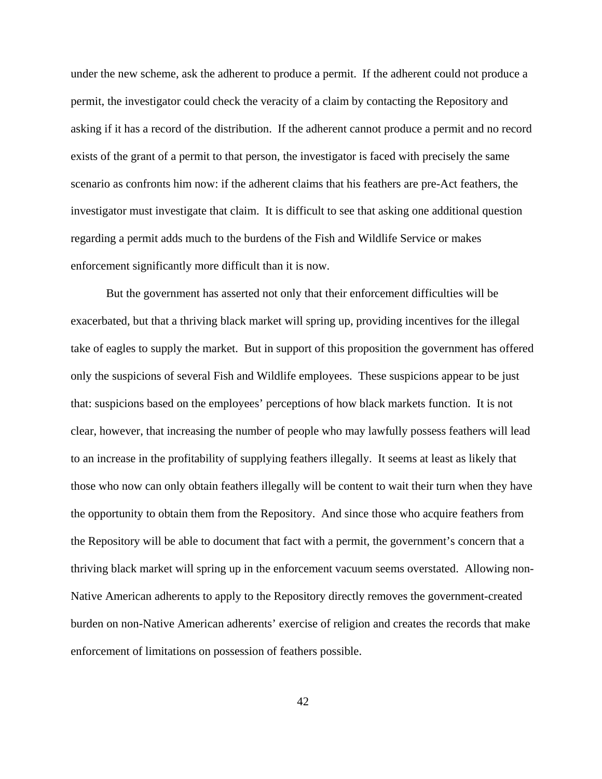under the new scheme, ask the adherent to produce a permit. If the adherent could not produce a permit, the investigator could check the veracity of a claim by contacting the Repository and asking if it has a record of the distribution. If the adherent cannot produce a permit and no record exists of the grant of a permit to that person, the investigator is faced with precisely the same scenario as confronts him now: if the adherent claims that his feathers are pre-Act feathers, the investigator must investigate that claim. It is difficult to see that asking one additional question regarding a permit adds much to the burdens of the Fish and Wildlife Service or makes enforcement significantly more difficult than it is now.

But the government has asserted not only that their enforcement difficulties will be exacerbated, but that a thriving black market will spring up, providing incentives for the illegal take of eagles to supply the market. But in support of this proposition the government has offered only the suspicions of several Fish and Wildlife employees. These suspicions appear to be just that: suspicions based on the employees' perceptions of how black markets function. It is not clear, however, that increasing the number of people who may lawfully possess feathers will lead to an increase in the profitability of supplying feathers illegally. It seems at least as likely that those who now can only obtain feathers illegally will be content to wait their turn when they have the opportunity to obtain them from the Repository. And since those who acquire feathers from the Repository will be able to document that fact with a permit, the government's concern that a thriving black market will spring up in the enforcement vacuum seems overstated. Allowing non-Native American adherents to apply to the Repository directly removes the government-created burden on non-Native American adherents' exercise of religion and creates the records that make enforcement of limitations on possession of feathers possible.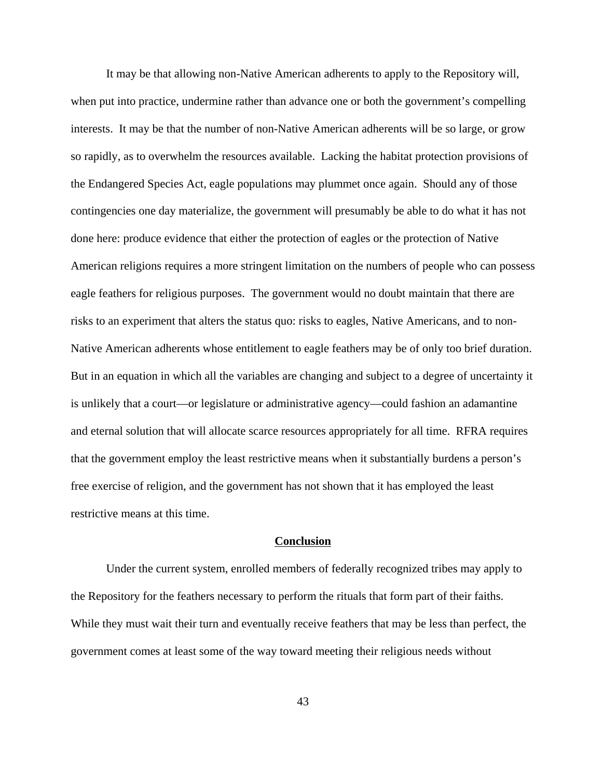It may be that allowing non-Native American adherents to apply to the Repository will, when put into practice, undermine rather than advance one or both the government's compelling interests. It may be that the number of non-Native American adherents will be so large, or grow so rapidly, as to overwhelm the resources available. Lacking the habitat protection provisions of the Endangered Species Act, eagle populations may plummet once again. Should any of those contingencies one day materialize, the government will presumably be able to do what it has not done here: produce evidence that either the protection of eagles or the protection of Native American religions requires a more stringent limitation on the numbers of people who can possess eagle feathers for religious purposes. The government would no doubt maintain that there are risks to an experiment that alters the status quo: risks to eagles, Native Americans, and to non-Native American adherents whose entitlement to eagle feathers may be of only too brief duration. But in an equation in which all the variables are changing and subject to a degree of uncertainty it is unlikely that a court—or legislature or administrative agency—could fashion an adamantine and eternal solution that will allocate scarce resources appropriately for all time. RFRA requires that the government employ the least restrictive means when it substantially burdens a person's free exercise of religion, and the government has not shown that it has employed the least restrictive means at this time.

# **Conclusion**

Under the current system, enrolled members of federally recognized tribes may apply to the Repository for the feathers necessary to perform the rituals that form part of their faiths. While they must wait their turn and eventually receive feathers that may be less than perfect, the government comes at least some of the way toward meeting their religious needs without